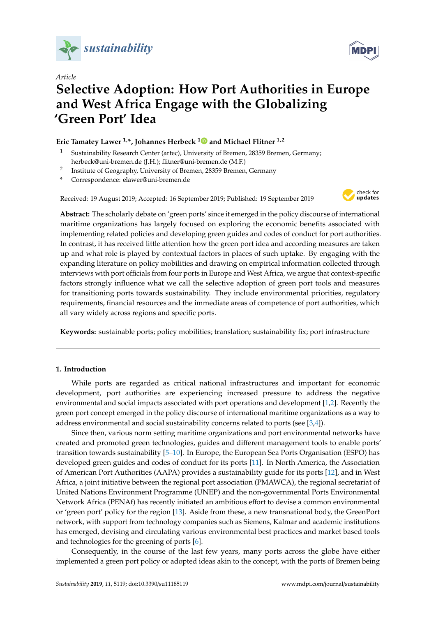



# *Article* **Selective Adoption: How Port Authorities in Europe and West Africa Engage with the Globalizing 'Green Port' Idea**

# **Eric Tamatey Lawer 1,\*, Johannes Herbeck [1](https://orcid.org/0000-0001-8108-9921) and Michael Flitner 1,2**

- Sustainability Research Center (artec), University of Bremen, 28359 Bremen, Germany; herbeck@uni-bremen.de (J.H.); flitner@uni-bremen.de (M.F.)
- 2 Institute of Geography, University of Bremen, 28359 Bremen, Germany
- **\*** Correspondence: elawer@uni-bremen.de

Received: 19 August 2019; Accepted: 16 September 2019; Published: 19 September 2019



**Abstract:** The scholarly debate on 'green ports' since it emerged in the policy discourse of international maritime organizations has largely focused on exploring the economic benefits associated with implementing related policies and developing green guides and codes of conduct for port authorities. In contrast, it has received little attention how the green port idea and according measures are taken up and what role is played by contextual factors in places of such uptake. By engaging with the expanding literature on policy mobilities and drawing on empirical information collected through interviews with port officials from four ports in Europe and West Africa, we argue that context-specific factors strongly influence what we call the selective adoption of green port tools and measures for transitioning ports towards sustainability. They include environmental priorities, regulatory requirements, financial resources and the immediate areas of competence of port authorities, which all vary widely across regions and specific ports.

**Keywords:** sustainable ports; policy mobilities; translation; sustainability fix; port infrastructure

### **1. Introduction**

While ports are regarded as critical national infrastructures and important for economic development, port authorities are experiencing increased pressure to address the negative environmental and social impacts associated with port operations and development [\[1](#page-15-0)[,2\]](#page-15-1). Recently the green port concept emerged in the policy discourse of international maritime organizations as a way to address environmental and social sustainability concerns related to ports (see [\[3](#page-15-2)[,4\]](#page-15-3)).

Since then, various norm setting maritime organizations and port environmental networks have created and promoted green technologies, guides and different management tools to enable ports' transition towards sustainability [\[5–](#page-15-4)[10\]](#page-16-0). In Europe, the European Sea Ports Organisation (ESPO) has developed green guides and codes of conduct for its ports [\[11\]](#page-16-1). In North America, the Association of American Port Authorities (AAPA) provides a sustainability guide for its ports [\[12\]](#page-16-2), and in West Africa, a joint initiative between the regional port association (PMAWCA), the regional secretariat of United Nations Environment Programme (UNEP) and the non-governmental Ports Environmental Network Africa (PENAf) has recently initiated an ambitious effort to devise a common environmental or 'green port' policy for the region [\[13\]](#page-16-3). Aside from these, a new transnational body, the GreenPort network, with support from technology companies such as Siemens, Kalmar and academic institutions has emerged, devising and circulating various environmental best practices and market based tools and technologies for the greening of ports [\[6\]](#page-15-5).

Consequently, in the course of the last few years, many ports across the globe have either implemented a green port policy or adopted ideas akin to the concept, with the ports of Bremen being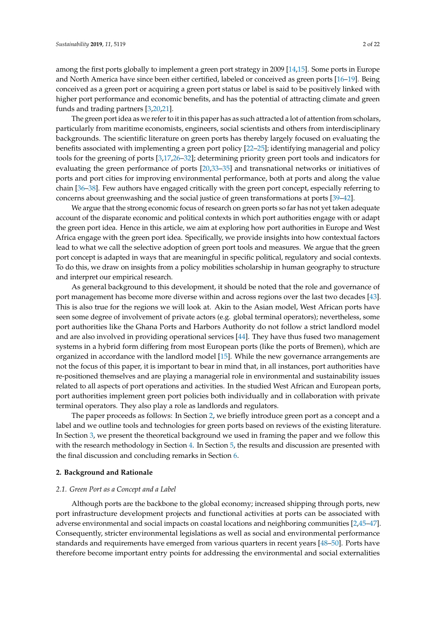among the first ports globally to implement a green port strategy in 2009 [\[14](#page-16-4)[,15\]](#page-16-5). Some ports in Europe and North America have since been either certified, labeled or conceived as green ports [\[16–](#page-16-6)[19\]](#page-16-7). Being conceived as a green port or acquiring a green port status or label is said to be positively linked with higher port performance and economic benefits, and has the potential of attracting climate and green funds and trading partners [\[3](#page-15-2)[,20](#page-16-8)[,21\]](#page-16-9).

The green port idea as we refer to it in this paper has as such attracted a lot of attention from scholars, particularly from maritime economists, engineers, social scientists and others from interdisciplinary backgrounds. The scientific literature on green ports has thereby largely focused on evaluating the benefits associated with implementing a green port policy [\[22](#page-16-10)[–25\]](#page-16-11); identifying managerial and policy tools for the greening of ports [\[3,](#page-15-2)[17,](#page-16-12)[26](#page-16-13)[–32\]](#page-17-0); determining priority green port tools and indicators for evaluating the green performance of ports [\[20](#page-16-8)[,33–](#page-17-1)[35\]](#page-17-2) and transnational networks or initiatives of ports and port cities for improving environmental performance, both at ports and along the value chain [\[36–](#page-17-3)[38\]](#page-17-4). Few authors have engaged critically with the green port concept, especially referring to concerns about greenwashing and the social justice of green transformations at ports [\[39](#page-17-5)[–42\]](#page-17-6).

We argue that the strong economic focus of research on green ports so far has not yet taken adequate account of the disparate economic and political contexts in which port authorities engage with or adapt the green port idea. Hence in this article, we aim at exploring how port authorities in Europe and West Africa engage with the green port idea. Specifically, we provide insights into how contextual factors lead to what we call the selective adoption of green port tools and measures. We argue that the green port concept is adapted in ways that are meaningful in specific political, regulatory and social contexts. To do this, we draw on insights from a policy mobilities scholarship in human geography to structure and interpret our empirical research.

As general background to this development, it should be noted that the role and governance of port management has become more diverse within and across regions over the last two decades [\[43\]](#page-17-7). This is also true for the regions we will look at. Akin to the Asian model, West African ports have seen some degree of involvement of private actors (e.g. global terminal operators); nevertheless, some port authorities like the Ghana Ports and Harbors Authority do not follow a strict landlord model and are also involved in providing operational services [\[44\]](#page-17-8). They have thus fused two management systems in a hybrid form differing from most European ports (like the ports of Bremen), which are organized in accordance with the landlord model [\[15\]](#page-16-5). While the new governance arrangements are not the focus of this paper, it is important to bear in mind that, in all instances, port authorities have re-positioned themselves and are playing a managerial role in environmental and sustainability issues related to all aspects of port operations and activities. In the studied West African and European ports, port authorities implement green port policies both individually and in collaboration with private terminal operators. They also play a role as landlords and regulators.

The paper proceeds as follows: In Section [2,](#page-1-0) we briefly introduce green port as a concept and a label and we outline tools and technologies for green ports based on reviews of the existing literature. In Section [3,](#page-5-0) we present the theoretical background we used in framing the paper and we follow this with the research methodology in Section [4.](#page-6-0) In Section [5,](#page-7-0) the results and discussion are presented with the final discussion and concluding remarks in Section [6.](#page-14-0)

### <span id="page-1-0"></span>**2. Background and Rationale**

### *2.1. Green Port as a Concept and a Label*

Although ports are the backbone to the global economy; increased shipping through ports, new port infrastructure development projects and functional activities at ports can be associated with adverse environmental and social impacts on coastal locations and neighboring communities [\[2,](#page-15-1)[45–](#page-17-9)[47\]](#page-17-10). Consequently, stricter environmental legislations as well as social and environmental performance standards and requirements have emerged from various quarters in recent years [\[48–](#page-17-11)[50\]](#page-17-12). Ports have therefore become important entry points for addressing the environmental and social externalities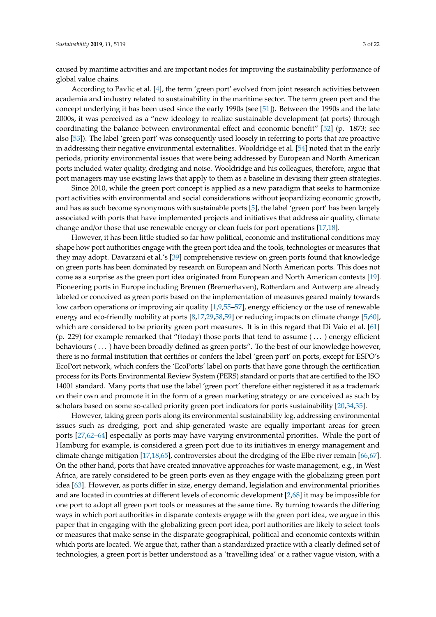caused by maritime activities and are important nodes for improving the sustainability performance of global value chains.

According to Pavlic et al. [\[4\]](#page-15-3), the term 'green port' evolved from joint research activities between academia and industry related to sustainability in the maritime sector. The term green port and the concept underlying it has been used since the early 1990s (see [\[51\]](#page-17-13)). Between the 1990s and the late 2000s, it was perceived as a "new ideology to realize sustainable development (at ports) through coordinating the balance between environmental effect and economic benefit" [\[52\]](#page-18-0) (p. 1873; see also [\[53\]](#page-18-1)). The label 'green port' was consequently used loosely in referring to ports that are proactive in addressing their negative environmental externalities. Wooldridge et al. [\[54\]](#page-18-2) noted that in the early periods, priority environmental issues that were being addressed by European and North American ports included water quality, dredging and noise. Wooldridge and his colleagues, therefore, argue that port managers may use existing laws that apply to them as a baseline in devising their green strategies.

Since 2010, while the green port concept is applied as a new paradigm that seeks to harmonize port activities with environmental and social considerations without jeopardizing economic growth, and has as such become synonymous with sustainable ports [\[5\]](#page-15-4), the label 'green port' has been largely associated with ports that have implemented projects and initiatives that address air quality, climate change and/or those that use renewable energy or clean fuels for port operations [\[17,](#page-16-12)[18\]](#page-16-14).

However, it has been little studied so far how political, economic and institutional conditions may shape how port authorities engage with the green port idea and the tools, technologies or measures that they may adopt. Davarzani et al.'s [\[39\]](#page-17-5) comprehensive review on green ports found that knowledge on green ports has been dominated by research on European and North American ports. This does not come as a surprise as the green port idea originated from European and North American contexts [\[19\]](#page-16-7). Pioneering ports in Europe including Bremen (Bremerhaven), Rotterdam and Antwerp are already labeled or conceived as green ports based on the implementation of measures geared mainly towards low carbon operations or improving air quality [\[1,](#page-15-0)[9](#page-16-15)[,55](#page-18-3)[–57\]](#page-18-4), energy efficiency or the use of renewable energy and eco-friendly mobility at ports [\[8,](#page-15-6)[17,](#page-16-12)[29,](#page-17-14)[58,](#page-18-5)[59\]](#page-18-6) or reducing impacts on climate change [\[5](#page-15-4)[,60\]](#page-18-7), which are considered to be priority green port measures. It is in this regard that Di Vaio et al. [\[61\]](#page-18-8) (p. 229) for example remarked that "(today) those ports that tend to assume  $(\dots)$  energy efficient behaviours ( . . . ) have been broadly defined as green ports". To the best of our knowledge however, there is no formal institution that certifies or confers the label 'green port' on ports, except for ESPO's EcoPort network, which confers the 'EcoPorts' label on ports that have gone through the certification process for its Ports Environmental Review System (PERS) standard or ports that are certified to the ISO 14001 standard. Many ports that use the label 'green port' therefore either registered it as a trademark on their own and promote it in the form of a green marketing strategy or are conceived as such by scholars based on some so-called priority green port indicators for ports sustainability [\[20,](#page-16-8)[34,](#page-17-15)[35\]](#page-17-2).

However, taking green ports along its environmental sustainability leg, addressing environmental issues such as dredging, port and ship-generated waste are equally important areas for green ports [\[27,](#page-16-16)[62–](#page-18-9)[64\]](#page-18-10) especially as ports may have varying environmental priorities. While the port of Hamburg for example, is considered a green port due to its initiatives in energy management and climate change mitigation [\[17](#page-16-12)[,18,](#page-16-14)[65\]](#page-18-11), controversies about the dredging of the Elbe river remain [\[66](#page-18-12)[,67\]](#page-18-13). On the other hand, ports that have created innovative approaches for waste management, e.g., in West Africa, are rarely considered to be green ports even as they engage with the globalizing green port idea [\[63\]](#page-18-14). However, as ports differ in size, energy demand, legislation and environmental priorities and are located in countries at different levels of economic development [\[2](#page-15-1)[,68\]](#page-18-15) it may be impossible for one port to adopt all green port tools or measures at the same time. By turning towards the differing ways in which port authorities in disparate contexts engage with the green port idea, we argue in this paper that in engaging with the globalizing green port idea, port authorities are likely to select tools or measures that make sense in the disparate geographical, political and economic contexts within which ports are located. We argue that, rather than a standardized practice with a clearly defined set of technologies, a green port is better understood as a 'travelling idea' or a rather vague vision, with a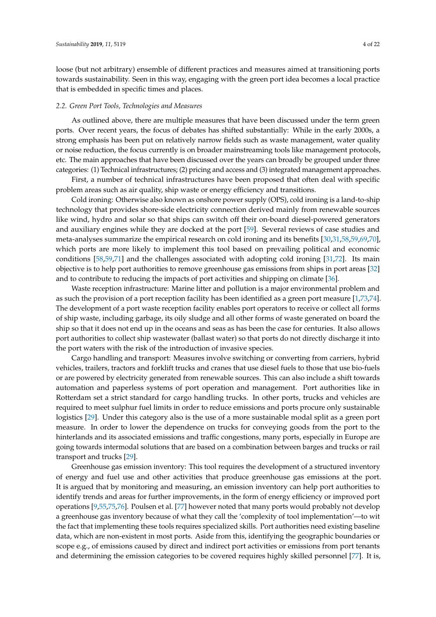loose (but not arbitrary) ensemble of different practices and measures aimed at transitioning ports towards sustainability. Seen in this way, engaging with the green port idea becomes a local practice that is embedded in specific times and places.

### *2.2. Green Port Tools, Technologies and Measures*

As outlined above, there are multiple measures that have been discussed under the term green ports. Over recent years, the focus of debates has shifted substantially: While in the early 2000s, a strong emphasis has been put on relatively narrow fields such as waste management, water quality or noise reduction, the focus currently is on broader mainstreaming tools like management protocols, etc. The main approaches that have been discussed over the years can broadly be grouped under three categories: (1) Technical infrastructures; (2) pricing and access and (3) integrated management approaches.

First, a number of technical infrastructures have been proposed that often deal with specific problem areas such as air quality, ship waste or energy efficiency and transitions.

Cold ironing: Otherwise also known as onshore power supply (OPS), cold ironing is a land-to-ship technology that provides shore-side electricity connection derived mainly from renewable sources like wind, hydro and solar so that ships can switch off their on-board diesel-powered generators and auxiliary engines while they are docked at the port [\[59\]](#page-18-6). Several reviews of case studies and meta-analyses summarize the empirical research on cold ironing and its benefits [\[30,](#page-17-16)[31,](#page-17-17)[58,](#page-18-5)[59,](#page-18-6)[69,](#page-18-16)[70\]](#page-18-17), which ports are more likely to implement this tool based on prevailing political and economic conditions [\[58](#page-18-5)[,59](#page-18-6)[,71\]](#page-18-18) and the challenges associated with adopting cold ironing [\[31,](#page-17-17)[72\]](#page-18-19). Its main objective is to help port authorities to remove greenhouse gas emissions from ships in port areas [\[32\]](#page-17-0) and to contribute to reducing the impacts of port activities and shipping on climate [\[36\]](#page-17-3).

Waste reception infrastructure: Marine litter and pollution is a major environmental problem and as such the provision of a port reception facility has been identified as a green port measure [\[1](#page-15-0)[,73,](#page-18-20)[74\]](#page-18-21). The development of a port waste reception facility enables port operators to receive or collect all forms of ship waste, including garbage, its oily sludge and all other forms of waste generated on board the ship so that it does not end up in the oceans and seas as has been the case for centuries. It also allows port authorities to collect ship wastewater (ballast water) so that ports do not directly discharge it into the port waters with the risk of the introduction of invasive species.

Cargo handling and transport: Measures involve switching or converting from carriers, hybrid vehicles, trailers, tractors and forklift trucks and cranes that use diesel fuels to those that use bio-fuels or are powered by electricity generated from renewable sources. This can also include a shift towards automation and paperless systems of port operation and management. Port authorities like in Rotterdam set a strict standard for cargo handling trucks. In other ports, trucks and vehicles are required to meet sulphur fuel limits in order to reduce emissions and ports procure only sustainable logistics [\[29\]](#page-17-14). Under this category also is the use of a more sustainable modal split as a green port measure. In order to lower the dependence on trucks for conveying goods from the port to the hinterlands and its associated emissions and traffic congestions, many ports, especially in Europe are going towards intermodal solutions that are based on a combination between barges and trucks or rail transport and trucks [\[29\]](#page-17-14).

Greenhouse gas emission inventory: This tool requires the development of a structured inventory of energy and fuel use and other activities that produce greenhouse gas emissions at the port. It is argued that by monitoring and measuring, an emission inventory can help port authorities to identify trends and areas for further improvements, in the form of energy efficiency or improved port operations [\[9](#page-16-15)[,55](#page-18-3)[,75,](#page-18-22)[76\]](#page-19-0). Poulsen et al. [\[77\]](#page-19-1) however noted that many ports would probably not develop a greenhouse gas inventory because of what they call the 'complexity of tool implementation'—to wit the fact that implementing these tools requires specialized skills. Port authorities need existing baseline data, which are non-existent in most ports. Aside from this, identifying the geographic boundaries or scope e.g., of emissions caused by direct and indirect port activities or emissions from port tenants and determining the emission categories to be covered requires highly skilled personnel [\[77\]](#page-19-1). It is,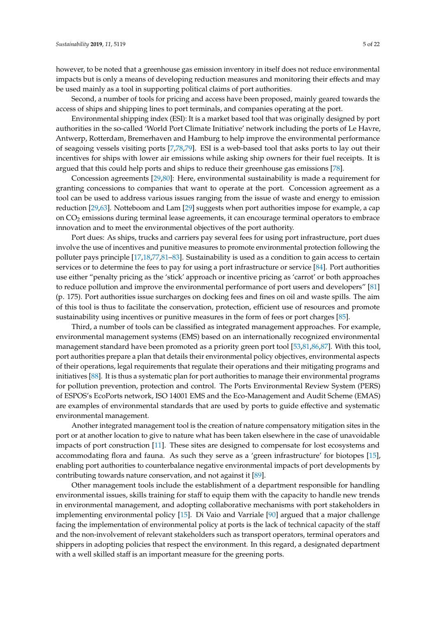however, to be noted that a greenhouse gas emission inventory in itself does not reduce environmental impacts but is only a means of developing reduction measures and monitoring their effects and may be used mainly as a tool in supporting political claims of port authorities.

Second, a number of tools for pricing and access have been proposed, mainly geared towards the access of ships and shipping lines to port terminals, and companies operating at the port.

Environmental shipping index (ESI): It is a market based tool that was originally designed by port authorities in the so-called 'World Port Climate Initiative' network including the ports of Le Havre, Antwerp, Rotterdam, Bremerhaven and Hamburg to help improve the environmental performance of seagoing vessels visiting ports [\[7](#page-15-7)[,78,](#page-19-2)[79\]](#page-19-3). ESI is a web-based tool that asks ports to lay out their incentives for ships with lower air emissions while asking ship owners for their fuel receipts. It is argued that this could help ports and ships to reduce their greenhouse gas emissions [\[78\]](#page-19-2).

Concession agreements [\[29,](#page-17-14)[80\]](#page-19-4): Here, environmental sustainability is made a requirement for granting concessions to companies that want to operate at the port. Concession agreement as a tool can be used to address various issues ranging from the issue of waste and energy to emission reduction [\[29,](#page-17-14)[63\]](#page-18-14). Notteboom and Lam [\[29\]](#page-17-14) suggests when port authorities impose for example, a cap on CO<sup>2</sup> emissions during terminal lease agreements, it can encourage terminal operators to embrace innovation and to meet the environmental objectives of the port authority.

Port dues: As ships, trucks and carriers pay several fees for using port infrastructure, port dues involve the use of incentives and punitive measures to promote environmental protection following the polluter pays principle [\[17](#page-16-12)[,18](#page-16-14)[,77](#page-19-1)[,81](#page-19-5)[–83\]](#page-19-6). Sustainability is used as a condition to gain access to certain services or to determine the fees to pay for using a port infrastructure or service [\[84\]](#page-19-7). Port authorities use either "penalty pricing as the 'stick' approach or incentive pricing as 'carrot' or both approaches to reduce pollution and improve the environmental performance of port users and developers" [\[81\]](#page-19-5) (p. 175). Port authorities issue surcharges on docking fees and fines on oil and waste spills. The aim of this tool is thus to facilitate the conservation, protection, efficient use of resources and promote sustainability using incentives or punitive measures in the form of fees or port charges [\[85\]](#page-19-8).

Third, a number of tools can be classified as integrated management approaches. For example, environmental management systems (EMS) based on an internationally recognized environmental management standard have been promoted as a priority green port tool [\[53,](#page-18-1)[81,](#page-19-5)[86,](#page-19-9)[87\]](#page-19-10). With this tool, port authorities prepare a plan that details their environmental policy objectives, environmental aspects of their operations, legal requirements that regulate their operations and their mitigating programs and initiatives [\[88\]](#page-19-11). It is thus a systematic plan for port authorities to manage their environmental programs for pollution prevention, protection and control. The Ports Environmental Review System (PERS) of ESPOS's EcoPorts network, ISO 14001 EMS and the Eco-Management and Audit Scheme (EMAS) are examples of environmental standards that are used by ports to guide effective and systematic environmental management.

Another integrated management tool is the creation of nature compensatory mitigation sites in the port or at another location to give to nature what has been taken elsewhere in the case of unavoidable impacts of port construction [\[11\]](#page-16-1). These sites are designed to compensate for lost ecosystems and accommodating flora and fauna. As such they serve as a 'green infrastructure' for biotopes [\[15\]](#page-16-5), enabling port authorities to counterbalance negative environmental impacts of port developments by contributing towards nature conservation, and not against it [\[89\]](#page-19-12).

Other management tools include the establishment of a department responsible for handling environmental issues, skills training for staff to equip them with the capacity to handle new trends in environmental management, and adopting collaborative mechanisms with port stakeholders in implementing environmental policy [\[15\]](#page-16-5). Di Vaio and Varriale [\[90\]](#page-19-13) argued that a major challenge facing the implementation of environmental policy at ports is the lack of technical capacity of the staff and the non-involvement of relevant stakeholders such as transport operators, terminal operators and shippers in adopting policies that respect the environment. In this regard, a designated department with a well skilled staff is an important measure for the greening ports.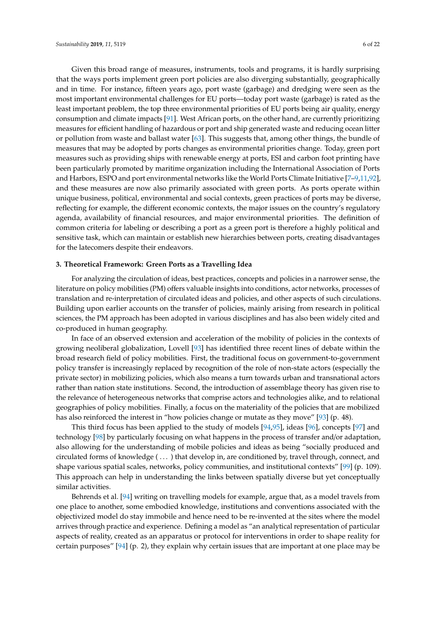Given this broad range of measures, instruments, tools and programs, it is hardly surprising that the ways ports implement green port policies are also diverging substantially, geographically and in time. For instance, fifteen years ago, port waste (garbage) and dredging were seen as the most important environmental challenges for EU ports—today port waste (garbage) is rated as the least important problem, the top three environmental priorities of EU ports being air quality, energy consumption and climate impacts [\[91\]](#page-19-14). West African ports, on the other hand, are currently prioritizing measures for efficient handling of hazardous or port and ship generated waste and reducing ocean litter or pollution from waste and ballast water [\[63\]](#page-18-14). This suggests that, among other things, the bundle of measures that may be adopted by ports changes as environmental priorities change. Today, green port measures such as providing ships with renewable energy at ports, ESI and carbon foot printing have been particularly promoted by maritime organization including the International Association of Ports and Harbors, ESPO and port environmental networks like the World Ports Climate Initiative [\[7–](#page-15-7)[9](#page-16-15)[,11](#page-16-1)[,92\]](#page-19-15), and these measures are now also primarily associated with green ports. As ports operate within unique business, political, environmental and social contexts, green practices of ports may be diverse, reflecting for example, the different economic contexts, the major issues on the country's regulatory agenda, availability of financial resources, and major environmental priorities. The definition of common criteria for labeling or describing a port as a green port is therefore a highly political and sensitive task, which can maintain or establish new hierarchies between ports, creating disadvantages for the latecomers despite their endeavors.

### <span id="page-5-0"></span>**3. Theoretical Framework: Green Ports as a Travelling Idea**

For analyzing the circulation of ideas, best practices, concepts and policies in a narrower sense, the literature on policy mobilities (PM) offers valuable insights into conditions, actor networks, processes of translation and re-interpretation of circulated ideas and policies, and other aspects of such circulations. Building upon earlier accounts on the transfer of policies, mainly arising from research in political sciences, the PM approach has been adopted in various disciplines and has also been widely cited and co-produced in human geography.

In face of an observed extension and acceleration of the mobility of policies in the contexts of growing neoliberal globalization, Lovell [\[93\]](#page-19-16) has identified three recent lines of debate within the broad research field of policy mobilities. First, the traditional focus on government-to-government policy transfer is increasingly replaced by recognition of the role of non-state actors (especially the private sector) in mobilizing policies, which also means a turn towards urban and transnational actors rather than nation state institutions. Second, the introduction of assemblage theory has given rise to the relevance of heterogeneous networks that comprise actors and technologies alike, and to relational geographies of policy mobilities. Finally, a focus on the materiality of the policies that are mobilized has also reinforced the interest in "how policies change or mutate as they move" [\[93\]](#page-19-16) (p. 48).

This third focus has been applied to the study of models [\[94](#page-19-17)[,95\]](#page-19-18), ideas [\[96\]](#page-19-19), concepts [\[97\]](#page-19-20) and technology [\[98\]](#page-19-21) by particularly focusing on what happens in the process of transfer and/or adaptation, also allowing for the understanding of mobile policies and ideas as being "socially produced and circulated forms of knowledge ( . . . ) that develop in, are conditioned by, travel through, connect, and shape various spatial scales, networks, policy communities, and institutional contexts" [\[99\]](#page-19-22) (p. 109). This approach can help in understanding the links between spatially diverse but yet conceptually similar activities.

Behrends et al. [\[94\]](#page-19-17) writing on travelling models for example, argue that, as a model travels from one place to another, some embodied knowledge, institutions and conventions associated with the objectivized model do stay immobile and hence need to be re-invented at the sites where the model arrives through practice and experience. Defining a model as "an analytical representation of particular aspects of reality, created as an apparatus or protocol for interventions in order to shape reality for certain purposes" [\[94\]](#page-19-17) (p. 2), they explain why certain issues that are important at one place may be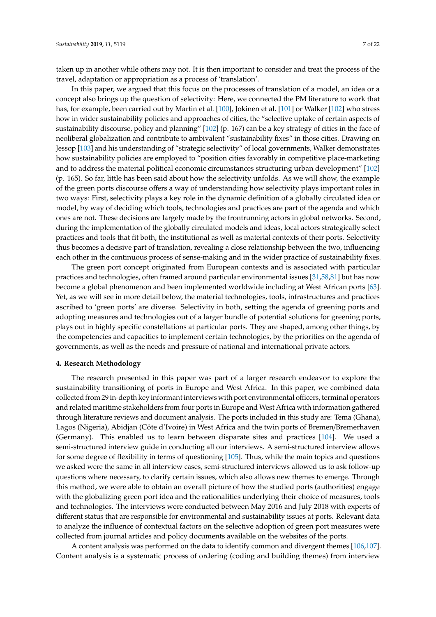taken up in another while others may not. It is then important to consider and treat the process of the travel, adaptation or appropriation as a process of 'translation'.

In this paper, we argued that this focus on the processes of translation of a model, an idea or a concept also brings up the question of selectivity: Here, we connected the PM literature to work that has, for example, been carried out by Martin et al. [\[100\]](#page-20-0), Jokinen et al. [\[101\]](#page-20-1) or Walker [\[102\]](#page-20-2) who stress how in wider sustainability policies and approaches of cities, the "selective uptake of certain aspects of sustainability discourse, policy and planning" [\[102\]](#page-20-2) (p. 167) can be a key strategy of cities in the face of neoliberal globalization and contribute to ambivalent "sustainability fixes" in those cities. Drawing on Jessop [\[103\]](#page-20-3) and his understanding of "strategic selectivity" of local governments, Walker demonstrates how sustainability policies are employed to "position cities favorably in competitive place-marketing and to address the material political economic circumstances structuring urban development" [\[102\]](#page-20-2) (p. 165). So far, little has been said about how the selectivity unfolds. As we will show, the example of the green ports discourse offers a way of understanding how selectivity plays important roles in two ways: First, selectivity plays a key role in the dynamic definition of a globally circulated idea or model, by way of deciding which tools, technologies and practices are part of the agenda and which ones are not. These decisions are largely made by the frontrunning actors in global networks. Second, during the implementation of the globally circulated models and ideas, local actors strategically select practices and tools that fit both, the institutional as well as material contexts of their ports. Selectivity thus becomes a decisive part of translation, revealing a close relationship between the two, influencing each other in the continuous process of sense-making and in the wider practice of sustainability fixes.

The green port concept originated from European contexts and is associated with particular practices and technologies, often framed around particular environmental issues [\[31](#page-17-17)[,58,](#page-18-5)[81\]](#page-19-5) but has now become a global phenomenon and been implemented worldwide including at West African ports [\[63\]](#page-18-14). Yet, as we will see in more detail below, the material technologies, tools, infrastructures and practices ascribed to 'green ports' are diverse. Selectivity in both, setting the agenda of greening ports and adopting measures and technologies out of a larger bundle of potential solutions for greening ports, plays out in highly specific constellations at particular ports. They are shaped, among other things, by the competencies and capacities to implement certain technologies, by the priorities on the agenda of governments, as well as the needs and pressure of national and international private actors.

### <span id="page-6-0"></span>**4. Research Methodology**

The research presented in this paper was part of a larger research endeavor to explore the sustainability transitioning of ports in Europe and West Africa. In this paper, we combined data collected from 29 in-depth key informant interviews with port environmental officers, terminal operators and related maritime stakeholders from four ports in Europe and West Africa with information gathered through literature reviews and document analysis. The ports included in this study are: Tema (Ghana), Lagos (Nigeria), Abidjan (Côte d'Ivoire) in West Africa and the twin ports of Bremen/Bremerhaven (Germany). This enabled us to learn between disparate sites and practices [\[104\]](#page-20-4). We used a semi-structured interview guide in conducting all our interviews. A semi-structured interview allows for some degree of flexibility in terms of questioning [\[105\]](#page-20-5). Thus, while the main topics and questions we asked were the same in all interview cases, semi-structured interviews allowed us to ask follow-up questions where necessary, to clarify certain issues, which also allows new themes to emerge. Through this method, we were able to obtain an overall picture of how the studied ports (authorities) engage with the globalizing green port idea and the rationalities underlying their choice of measures, tools and technologies. The interviews were conducted between May 2016 and July 2018 with experts of different status that are responsible for environmental and sustainability issues at ports. Relevant data to analyze the influence of contextual factors on the selective adoption of green port measures were collected from journal articles and policy documents available on the websites of the ports.

A content analysis was performed on the data to identify common and divergent themes [\[106](#page-20-6)[,107\]](#page-20-7). Content analysis is a systematic process of ordering (coding and building themes) from interview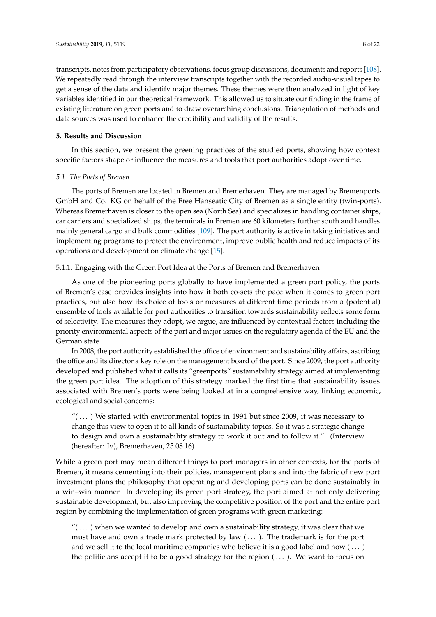transcripts, notes from participatory observations, focus group discussions, documents and reports [\[108\]](#page-20-8). We repeatedly read through the interview transcripts together with the recorded audio-visual tapes to get a sense of the data and identify major themes. These themes were then analyzed in light of key variables identified in our theoretical framework. This allowed us to situate our finding in the frame of existing literature on green ports and to draw overarching conclusions. Triangulation of methods and data sources was used to enhance the credibility and validity of the results.

# <span id="page-7-0"></span>**5. Results and Discussion**

In this section, we present the greening practices of the studied ports, showing how context specific factors shape or influence the measures and tools that port authorities adopt over time.

# *5.1. The Ports of Bremen*

The ports of Bremen are located in Bremen and Bremerhaven. They are managed by Bremenports GmbH and Co. KG on behalf of the Free Hanseatic City of Bremen as a single entity (twin-ports). Whereas Bremerhaven is closer to the open sea (North Sea) and specializes in handling container ships, car carriers and specialized ships, the terminals in Bremen are 60 kilometers further south and handles mainly general cargo and bulk commodities [\[109\]](#page-20-9). The port authority is active in taking initiatives and implementing programs to protect the environment, improve public health and reduce impacts of its operations and development on climate change [\[15\]](#page-16-5).

5.1.1. Engaging with the Green Port Idea at the Ports of Bremen and Bremerhaven

As one of the pioneering ports globally to have implemented a green port policy, the ports of Bremen's case provides insights into how it both co-sets the pace when it comes to green port practices, but also how its choice of tools or measures at different time periods from a (potential) ensemble of tools available for port authorities to transition towards sustainability reflects some form of selectivity. The measures they adopt, we argue, are influenced by contextual factors including the priority environmental aspects of the port and major issues on the regulatory agenda of the EU and the German state.

In 2008, the port authority established the office of environment and sustainability affairs, ascribing the office and its director a key role on the management board of the port. Since 2009, the port authority developed and published what it calls its "greenports" sustainability strategy aimed at implementing the green port idea. The adoption of this strategy marked the first time that sustainability issues associated with Bremen's ports were being looked at in a comprehensive way, linking economic, ecological and social concerns:

 $\gamma$  (...) We started with environmental topics in 1991 but since 2009, it was necessary to change this view to open it to all kinds of sustainability topics. So it was a strategic change to design and own a sustainability strategy to work it out and to follow it.". (Interview (hereafter: Iv), Bremerhaven, 25.08.16)

While a green port may mean different things to port managers in other contexts, for the ports of Bremen, it means cementing into their policies, management plans and into the fabric of new port investment plans the philosophy that operating and developing ports can be done sustainably in a win–win manner. In developing its green port strategy, the port aimed at not only delivering sustainable development, but also improving the competitive position of the port and the entire port region by combining the implementation of green programs with green marketing:

 $\gamma$  (...) when we wanted to develop and own a sustainability strategy, it was clear that we must have and own a trade mark protected by law  $(\dots)$ . The trademark is for the port and we sell it to the local maritime companies who believe it is a good label and now  $(\dots)$ the politicians accept it to be a good strategy for the region  $(\dots)$ . We want to focus on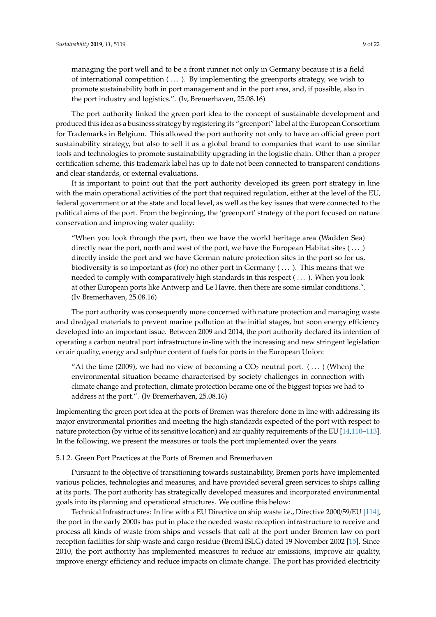managing the port well and to be a front runner not only in Germany because it is a field of international competition  $(\ldots)$ . By implementing the greenports strategy, we wish to promote sustainability both in port management and in the port area, and, if possible, also in the port industry and logistics.". (Iv, Bremerhaven, 25.08.16)

The port authority linked the green port idea to the concept of sustainable development and produced this idea as a business strategy by registering its "greenport" label at the European Consortium for Trademarks in Belgium. This allowed the port authority not only to have an official green port sustainability strategy, but also to sell it as a global brand to companies that want to use similar tools and technologies to promote sustainability upgrading in the logistic chain. Other than a proper certification scheme, this trademark label has up to date not been connected to transparent conditions and clear standards, or external evaluations.

It is important to point out that the port authority developed its green port strategy in line with the main operational activities of the port that required regulation, either at the level of the EU, federal government or at the state and local level, as well as the key issues that were connected to the political aims of the port. From the beginning, the 'greenport' strategy of the port focused on nature conservation and improving water quality:

"When you look through the port, then we have the world heritage area (Wadden Sea) directly near the port, north and west of the port, we have the European Habitat sites ( . . . ) directly inside the port and we have German nature protection sites in the port so for us, biodiversity is so important as (for) no other port in Germany  $(\ldots)$ . This means that we needed to comply with comparatively high standards in this respect ( . . . ). When you look at other European ports like Antwerp and Le Havre, then there are some similar conditions.". (Iv Bremerhaven, 25.08.16)

The port authority was consequently more concerned with nature protection and managing waste and dredged materials to prevent marine pollution at the initial stages, but soon energy efficiency developed into an important issue. Between 2009 and 2014, the port authority declared its intention of operating a carbon neutral port infrastructure in-line with the increasing and new stringent legislation on air quality, energy and sulphur content of fuels for ports in the European Union:

"At the time (2009), we had no view of becoming a  $CO<sub>2</sub>$  neutral port. (...) (When) the environmental situation became characterised by society challenges in connection with climate change and protection, climate protection became one of the biggest topics we had to address at the port.". (Iv Bremerhaven, 25.08.16)

Implementing the green port idea at the ports of Bremen was therefore done in line with addressing its major environmental priorities and meeting the high standards expected of the port with respect to nature protection (by virtue of its sensitive location) and air quality requirements of the EU [\[14,](#page-16-4)[110–](#page-20-10)[113\]](#page-20-11). In the following, we present the measures or tools the port implemented over the years.

### 5.1.2. Green Port Practices at the Ports of Bremen and Bremerhaven

Pursuant to the objective of transitioning towards sustainability, Bremen ports have implemented various policies, technologies and measures, and have provided several green services to ships calling at its ports. The port authority has strategically developed measures and incorporated environmental goals into its planning and operational structures. We outline this below:

Technical Infrastructures: In line with a EU Directive on ship waste i.e., Directive 2000/59/EU [\[114\]](#page-20-12), the port in the early 2000s has put in place the needed waste reception infrastructure to receive and process all kinds of waste from ships and vessels that call at the port under Bremen law on port reception facilities for ship waste and cargo residue (BremHSLG) dated 19 November 2002 [\[15\]](#page-16-5). Since 2010, the port authority has implemented measures to reduce air emissions, improve air quality, improve energy efficiency and reduce impacts on climate change. The port has provided electricity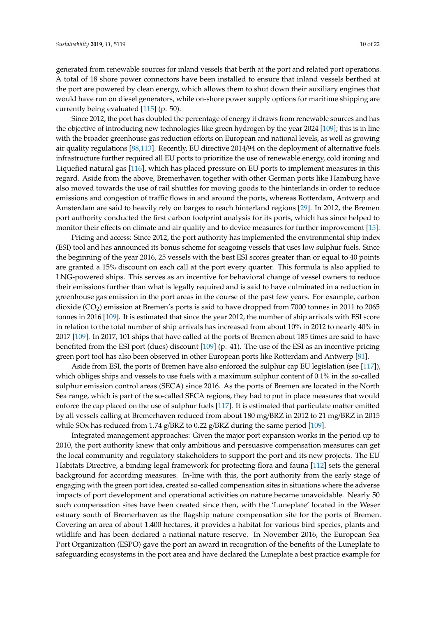generated from renewable sources for inland vessels that berth at the port and related port operations. A total of 18 shore power connectors have been installed to ensure that inland vessels berthed at the port are powered by clean energy, which allows them to shut down their auxiliary engines that would have run on diesel generators, while on-shore power supply options for maritime shipping are currently being evaluated [\[115\]](#page-20-13) (p. 50).

Since 2012, the port has doubled the percentage of energy it draws from renewable sources and has the objective of introducing new technologies like green hydrogen by the year 2024 [\[109\]](#page-20-9); this is in line with the broader greenhouse gas reduction efforts on European and national levels, as well as growing air quality regulations [\[88,](#page-19-11)[113\]](#page-20-11). Recently, EU directive 2014/94 on the deployment of alternative fuels infrastructure further required all EU ports to prioritize the use of renewable energy, cold ironing and Liquefied natural gas [\[116\]](#page-20-14), which has placed pressure on EU ports to implement measures in this regard. Aside from the above, Bremerhaven together with other German ports like Hamburg have also moved towards the use of rail shuttles for moving goods to the hinterlands in order to reduce emissions and congestion of traffic flows in and around the ports, whereas Rotterdam, Antwerp and Amsterdam are said to heavily rely on barges to reach hinterland regions [\[29\]](#page-17-14). In 2012, the Bremen port authority conducted the first carbon footprint analysis for its ports, which has since helped to monitor their effects on climate and air quality and to device measures for further improvement [\[15\]](#page-16-5).

Pricing and access: Since 2012, the port authority has implemented the environmental ship index (ESI) tool and has announced its bonus scheme for seagoing vessels that uses low sulphur fuels. Since the beginning of the year 2016, 25 vessels with the best ESI scores greater than or equal to 40 points are granted a 15% discount on each call at the port every quarter. This formula is also applied to LNG-powered ships. This serves as an incentive for behavioral change of vessel owners to reduce their emissions further than what is legally required and is said to have culminated in a reduction in greenhouse gas emission in the port areas in the course of the past few years. For example, carbon dioxide  $(CO<sub>2</sub>)$  emission at Bremen's ports is said to have dropped from 7000 tonnes in 2011 to 2065 tonnes in 2016 [\[109\]](#page-20-9). It is estimated that since the year 2012, the number of ship arrivals with ESI score in relation to the total number of ship arrivals has increased from about 10% in 2012 to nearly 40% in 2017 [\[109\]](#page-20-9). In 2017, 101 ships that have called at the ports of Bremen about 185 times are said to have benefited from the ESI port (dues) discount [\[109\]](#page-20-9) (p. 41). The use of the ESI as an incentive pricing green port tool has also been observed in other European ports like Rotterdam and Antwerp [\[81\]](#page-19-5).

Aside from ESI, the ports of Bremen have also enforced the sulphur cap EU legislation (see [\[117\]](#page-20-15)), which obliges ships and vessels to use fuels with a maximum sulphur content of 0.1% in the so-called sulphur emission control areas (SECA) since 2016. As the ports of Bremen are located in the North Sea range, which is part of the so-called SECA regions, they had to put in place measures that would enforce the cap placed on the use of sulphur fuels [\[117\]](#page-20-15). It is estimated that particulate matter emitted by all vessels calling at Bremerhaven reduced from about 180 mg/BRZ in 2012 to 21 mg/BRZ in 2015 while SOx has reduced from 1.74 g/BRZ to 0.22 g/BRZ during the same period [\[109\]](#page-20-9).

Integrated management approaches: Given the major port expansion works in the period up to 2010, the port authority knew that only ambitious and persuasive compensation measures can get the local community and regulatory stakeholders to support the port and its new projects. The EU Habitats Directive, a binding legal framework for protecting flora and fauna [\[112\]](#page-20-16) sets the general background for according measures. In-line with this, the port authority from the early stage of engaging with the green port idea, created so-called compensation sites in situations where the adverse impacts of port development and operational activities on nature became unavoidable. Nearly 50 such compensation sites have been created since then, with the 'Luneplate' located in the Weser estuary south of Bremerhaven as the flagship nature compensation site for the ports of Bremen. Covering an area of about 1.400 hectares, it provides a habitat for various bird species, plants and wildlife and has been declared a national nature reserve. In November 2016, the European Sea Port Organization (ESPO) gave the port an award in recognition of the benefits of the Luneplate to safeguarding ecosystems in the port area and have declared the Luneplate a best practice example for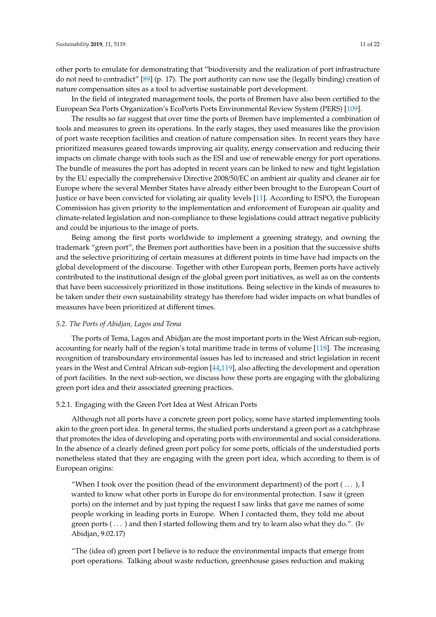other ports to emulate for demonstrating that "biodiversity and the realization of port infrastructure do not need to contradict" [\[89\]](#page-19-12) (p. 17). The port authority can now use the (legally binding) creation of nature compensation sites as a tool to advertise sustainable port development.

In the field of integrated management tools, the ports of Bremen have also been certified to the European Sea Ports Organization's EcoPorts Ports Environmental Review System (PERS) [\[109\]](#page-20-9).

The results so far suggest that over time the ports of Bremen have implemented a combination of tools and measures to green its operations. In the early stages, they used measures like the provision of port waste reception facilities and creation of nature compensation sites. In recent years they have prioritized measures geared towards improving air quality, energy conservation and reducing their impacts on climate change with tools such as the ESI and use of renewable energy for port operations. The bundle of measures the port has adopted in recent years can be linked to new and tight legislation by the EU especially the comprehensive Directive 2008/50/EC on ambient air quality and cleaner air for Europe where the several Member States have already either been brought to the European Court of Justice or have been convicted for violating air quality levels [\[11\]](#page-16-1). According to ESPO, the European Commission has given priority to the implementation and enforcement of European air quality and climate-related legislation and non-compliance to these legislations could attract negative publicity and could be injurious to the image of ports.

Being among the first ports worldwide to implement a greening strategy, and owning the trademark "green port", the Bremen port authorities have been in a position that the successive shifts and the selective prioritizing of certain measures at different points in time have had impacts on the global development of the discourse. Together with other European ports, Bremen ports have actively contributed to the institutional design of the global green port initiatives, as well as on the contents that have been successively prioritized in those institutions. Being selective in the kinds of measures to be taken under their own sustainability strategy has therefore had wider impacts on what bundles of measures have been prioritized at different times.

### *5.2. The Ports of Abidjan, Lagos and Tema*

The ports of Tema, Lagos and Abidjan are the most important ports in the West African sub-region, accounting for nearly half of the region's total maritime trade in terms of volume [\[118\]](#page-20-17). The increasing recognition of transboundary environmental issues has led to increased and strict legislation in recent years in the West and Central African sub-region [\[44](#page-17-8)[,119\]](#page-20-18), also affecting the development and operation of port facilities. In the next sub-section, we discuss how these ports are engaging with the globalizing green port idea and their associated greening practices.

### 5.2.1. Engaging with the Green Port Idea at West African Ports

Although not all ports have a concrete green port policy, some have started implementing tools akin to the green port idea. In general terms, the studied ports understand a green port as a catchphrase that promotes the idea of developing and operating ports with environmental and social considerations. In the absence of a clearly defined green port policy for some ports, officials of the understudied ports nonetheless stated that they are engaging with the green port idea, which according to them is of European origins:

"When I took over the position (head of the environment department) of the port  $(\dots)$ , I wanted to know what other ports in Europe do for environmental protection. I saw it (green ports) on the internet and by just typing the request I saw links that gave me names of some people working in leading ports in Europe. When I contacted them, they told me about green ports ( . . . ) and then I started following them and try to learn also what they do.". (Iv Abidjan, 9.02.17)

"The (idea of) green port I believe is to reduce the environmental impacts that emerge from port operations. Talking about waste reduction, greenhouse gases reduction and making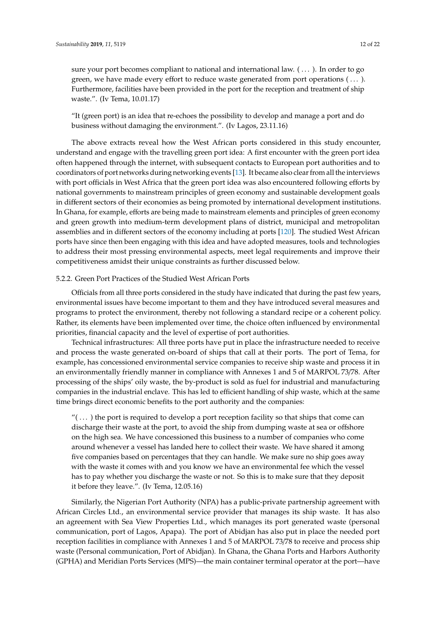sure your port becomes compliant to national and international law. ( . . . ). In order to go green, we have made every effort to reduce waste generated from port operations ( . . . ). Furthermore, facilities have been provided in the port for the reception and treatment of ship waste.". (Iv Tema, 10.01.17)

"It (green port) is an idea that re-echoes the possibility to develop and manage a port and do business without damaging the environment.". (Iv Lagos, 23.11.16)

The above extracts reveal how the West African ports considered in this study encounter, understand and engage with the travelling green port idea: A first encounter with the green port idea often happened through the internet, with subsequent contacts to European port authorities and to coordinators of port networks during networking events [\[13\]](#page-16-3). It became also clear from all the interviews with port officials in West Africa that the green port idea was also encountered following efforts by national governments to mainstream principles of green economy and sustainable development goals in different sectors of their economies as being promoted by international development institutions. In Ghana, for example, efforts are being made to mainstream elements and principles of green economy and green growth into medium-term development plans of district, municipal and metropolitan assemblies and in different sectors of the economy including at ports [\[120\]](#page-20-19). The studied West African ports have since then been engaging with this idea and have adopted measures, tools and technologies to address their most pressing environmental aspects, meet legal requirements and improve their competitiveness amidst their unique constraints as further discussed below.

# 5.2.2. Green Port Practices of the Studied West African Ports

Officials from all three ports considered in the study have indicated that during the past few years, environmental issues have become important to them and they have introduced several measures and programs to protect the environment, thereby not following a standard recipe or a coherent policy. Rather, its elements have been implemented over time, the choice often influenced by environmental priorities, financial capacity and the level of expertise of port authorities.

Technical infrastructures: All three ports have put in place the infrastructure needed to receive and process the waste generated on-board of ships that call at their ports. The port of Tema, for example, has concessioned environmental service companies to receive ship waste and process it in an environmentally friendly manner in compliance with Annexes 1 and 5 of MARPOL 73/78. After processing of the ships' oily waste, the by-product is sold as fuel for industrial and manufacturing companies in the industrial enclave. This has led to efficient handling of ship waste, which at the same time brings direct economic benefits to the port authority and the companies:

"(...) the port is required to develop a port reception facility so that ships that come can discharge their waste at the port, to avoid the ship from dumping waste at sea or offshore on the high sea. We have concessioned this business to a number of companies who come around whenever a vessel has landed here to collect their waste. We have shared it among five companies based on percentages that they can handle. We make sure no ship goes away with the waste it comes with and you know we have an environmental fee which the vessel has to pay whether you discharge the waste or not. So this is to make sure that they deposit it before they leave.". (Iv Tema, 12.05.16)

Similarly, the Nigerian Port Authority (NPA) has a public-private partnership agreement with African Circles Ltd., an environmental service provider that manages its ship waste. It has also an agreement with Sea View Properties Ltd., which manages its port generated waste (personal communication, port of Lagos, Apapa). The port of Abidjan has also put in place the needed port reception facilities in compliance with Annexes 1 and 5 of MARPOL 73/78 to receive and process ship waste (Personal communication, Port of Abidjan). In Ghana, the Ghana Ports and Harbors Authority (GPHA) and Meridian Ports Services (MPS)—the main container terminal operator at the port—have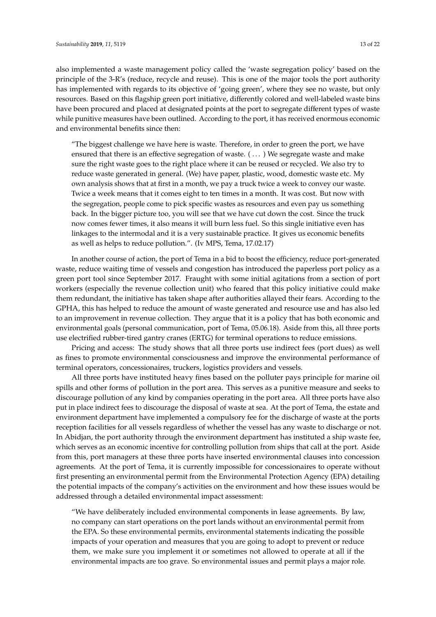also implemented a waste management policy called the 'waste segregation policy' based on the principle of the 3-R's (reduce, recycle and reuse). This is one of the major tools the port authority has implemented with regards to its objective of 'going green', where they see no waste, but only resources. Based on this flagship green port initiative, differently colored and well-labeled waste bins have been procured and placed at designated points at the port to segregate different types of waste while punitive measures have been outlined. According to the port, it has received enormous economic and environmental benefits since then:

"The biggest challenge we have here is waste. Therefore, in order to green the port, we have ensured that there is an effective segregation of waste. (...) We segregate waste and make sure the right waste goes to the right place where it can be reused or recycled. We also try to reduce waste generated in general. (We) have paper, plastic, wood, domestic waste etc. My own analysis shows that at first in a month, we pay a truck twice a week to convey our waste. Twice a week means that it comes eight to ten times in a month. It was cost. But now with the segregation, people come to pick specific wastes as resources and even pay us something back. In the bigger picture too, you will see that we have cut down the cost. Since the truck now comes fewer times, it also means it will burn less fuel. So this single initiative even has linkages to the intermodal and it is a very sustainable practice. It gives us economic benefits as well as helps to reduce pollution.". (Iv MPS, Tema, 17.02.17)

In another course of action, the port of Tema in a bid to boost the efficiency, reduce port-generated waste, reduce waiting time of vessels and congestion has introduced the paperless port policy as a green port tool since September 2017. Fraught with some initial agitations from a section of port workers (especially the revenue collection unit) who feared that this policy initiative could make them redundant, the initiative has taken shape after authorities allayed their fears. According to the GPHA, this has helped to reduce the amount of waste generated and resource use and has also led to an improvement in revenue collection. They argue that it is a policy that has both economic and environmental goals (personal communication, port of Tema, 05.06.18). Aside from this, all three ports use electrified rubber-tired gantry cranes (ERTG) for terminal operations to reduce emissions.

Pricing and access: The study shows that all three ports use indirect fees (port dues) as well as fines to promote environmental consciousness and improve the environmental performance of terminal operators, concessionaires, truckers, logistics providers and vessels.

All three ports have instituted heavy fines based on the polluter pays principle for marine oil spills and other forms of pollution in the port area. This serves as a punitive measure and seeks to discourage pollution of any kind by companies operating in the port area. All three ports have also put in place indirect fees to discourage the disposal of waste at sea. At the port of Tema, the estate and environment department have implemented a compulsory fee for the discharge of waste at the ports reception facilities for all vessels regardless of whether the vessel has any waste to discharge or not. In Abidjan, the port authority through the environment department has instituted a ship waste fee, which serves as an economic incentive for controlling pollution from ships that call at the port. Aside from this, port managers at these three ports have inserted environmental clauses into concession agreements. At the port of Tema, it is currently impossible for concessionaires to operate without first presenting an environmental permit from the Environmental Protection Agency (EPA) detailing the potential impacts of the company's activities on the environment and how these issues would be addressed through a detailed environmental impact assessment:

"We have deliberately included environmental components in lease agreements. By law, no company can start operations on the port lands without an environmental permit from the EPA. So these environmental permits, environmental statements indicating the possible impacts of your operation and measures that you are going to adopt to prevent or reduce them, we make sure you implement it or sometimes not allowed to operate at all if the environmental impacts are too grave. So environmental issues and permit plays a major role.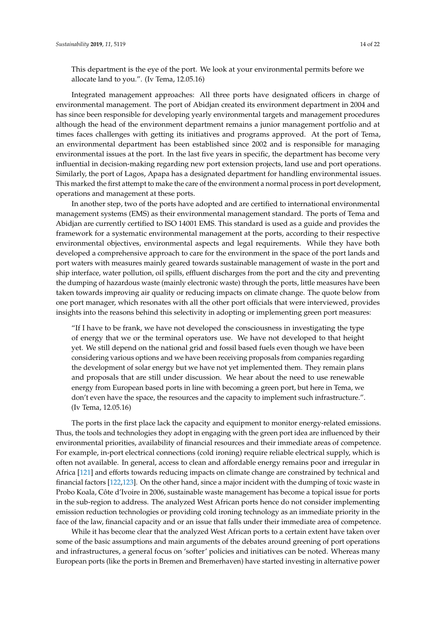This department is the eye of the port. We look at your environmental permits before we allocate land to you.". (Iv Tema, 12.05.16)

Integrated management approaches: All three ports have designated officers in charge of environmental management. The port of Abidjan created its environment department in 2004 and has since been responsible for developing yearly environmental targets and management procedures although the head of the environment department remains a junior management portfolio and at times faces challenges with getting its initiatives and programs approved. At the port of Tema, an environmental department has been established since 2002 and is responsible for managing environmental issues at the port. In the last five years in specific, the department has become very influential in decision-making regarding new port extension projects, land use and port operations. Similarly, the port of Lagos, Apapa has a designated department for handling environmental issues. This marked the first attempt to make the care of the environment a normal process in port development, operations and management at these ports.

In another step, two of the ports have adopted and are certified to international environmental management systems (EMS) as their environmental management standard. The ports of Tema and Abidjan are currently certified to ISO 14001 EMS. This standard is used as a guide and provides the framework for a systematic environmental management at the ports, according to their respective environmental objectives, environmental aspects and legal requirements. While they have both developed a comprehensive approach to care for the environment in the space of the port lands and port waters with measures mainly geared towards sustainable management of waste in the port and ship interface, water pollution, oil spills, effluent discharges from the port and the city and preventing the dumping of hazardous waste (mainly electronic waste) through the ports, little measures have been taken towards improving air quality or reducing impacts on climate change. The quote below from one port manager, which resonates with all the other port officials that were interviewed, provides insights into the reasons behind this selectivity in adopting or implementing green port measures:

"If I have to be frank, we have not developed the consciousness in investigating the type of energy that we or the terminal operators use. We have not developed to that height yet. We still depend on the national grid and fossil based fuels even though we have been considering various options and we have been receiving proposals from companies regarding the development of solar energy but we have not yet implemented them. They remain plans and proposals that are still under discussion. We hear about the need to use renewable energy from European based ports in line with becoming a green port, but here in Tema, we don't even have the space, the resources and the capacity to implement such infrastructure.". (Iv Tema, 12.05.16)

The ports in the first place lack the capacity and equipment to monitor energy-related emissions. Thus, the tools and technologies they adopt in engaging with the green port idea are influenced by their environmental priorities, availability of financial resources and their immediate areas of competence. For example, in-port electrical connections (cold ironing) require reliable electrical supply, which is often not available. In general, access to clean and affordable energy remains poor and irregular in Africa [\[121\]](#page-21-0) and efforts towards reducing impacts on climate change are constrained by technical and financial factors [\[122](#page-21-1)[,123\]](#page-21-2). On the other hand, since a major incident with the dumping of toxic waste in Probo Koala, Côte d'Ivoire in 2006, sustainable waste management has become a topical issue for ports in the sub-region to address. The analyzed West African ports hence do not consider implementing emission reduction technologies or providing cold ironing technology as an immediate priority in the face of the law, financial capacity and or an issue that falls under their immediate area of competence.

While it has become clear that the analyzed West African ports to a certain extent have taken over some of the basic assumptions and main arguments of the debates around greening of port operations and infrastructures, a general focus on 'softer' policies and initiatives can be noted. Whereas many European ports (like the ports in Bremen and Bremerhaven) have started investing in alternative power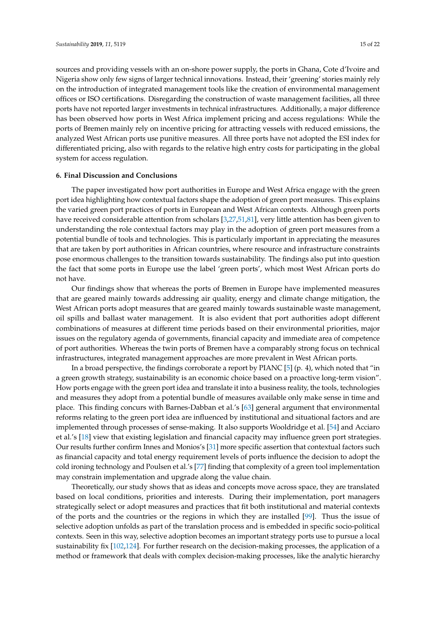sources and providing vessels with an on-shore power supply, the ports in Ghana, Cote d'Ivoire and Nigeria show only few signs of larger technical innovations. Instead, their 'greening' stories mainly rely on the introduction of integrated management tools like the creation of environmental management offices or ISO certifications. Disregarding the construction of waste management facilities, all three ports have not reported larger investments in technical infrastructures. Additionally, a major difference has been observed how ports in West Africa implement pricing and access regulations: While the ports of Bremen mainly rely on incentive pricing for attracting vessels with reduced emissions, the analyzed West African ports use punitive measures. All three ports have not adopted the ESI index for differentiated pricing, also with regards to the relative high entry costs for participating in the global system for access regulation.

### <span id="page-14-0"></span>**6. Final Discussion and Conclusions**

The paper investigated how port authorities in Europe and West Africa engage with the green port idea highlighting how contextual factors shape the adoption of green port measures. This explains the varied green port practices of ports in European and West African contexts. Although green ports have received considerable attention from scholars [\[3,](#page-15-2)[27](#page-16-16)[,51](#page-17-13)[,81\]](#page-19-5), very little attention has been given to understanding the role contextual factors may play in the adoption of green port measures from a potential bundle of tools and technologies. This is particularly important in appreciating the measures that are taken by port authorities in African countries, where resource and infrastructure constraints pose enormous challenges to the transition towards sustainability. The findings also put into question the fact that some ports in Europe use the label 'green ports', which most West African ports do not have.

Our findings show that whereas the ports of Bremen in Europe have implemented measures that are geared mainly towards addressing air quality, energy and climate change mitigation, the West African ports adopt measures that are geared mainly towards sustainable waste management, oil spills and ballast water management. It is also evident that port authorities adopt different combinations of measures at different time periods based on their environmental priorities, major issues on the regulatory agenda of governments, financial capacity and immediate area of competence of port authorities. Whereas the twin ports of Bremen have a comparably strong focus on technical infrastructures, integrated management approaches are more prevalent in West African ports.

In a broad perspective, the findings corroborate a report by PIANC [\[5\]](#page-15-4) (p. 4), which noted that "in a green growth strategy, sustainability is an economic choice based on a proactive long-term vision". How ports engage with the green port idea and translate it into a business reality, the tools, technologies and measures they adopt from a potential bundle of measures available only make sense in time and place. This finding concurs with Barnes-Dabban et al.'s [\[63\]](#page-18-14) general argument that environmental reforms relating to the green port idea are influenced by institutional and situational factors and are implemented through processes of sense-making. It also supports Wooldridge et al. [\[54\]](#page-18-2) and Acciaro et al.'s [\[18\]](#page-16-14) view that existing legislation and financial capacity may influence green port strategies. Our results further confirm Innes and Monios's [\[31\]](#page-17-17) more specific assertion that contextual factors such as financial capacity and total energy requirement levels of ports influence the decision to adopt the cold ironing technology and Poulsen et al.'s [\[77\]](#page-19-1) finding that complexity of a green tool implementation may constrain implementation and upgrade along the value chain.

Theoretically, our study shows that as ideas and concepts move across space, they are translated based on local conditions, priorities and interests. During their implementation, port managers strategically select or adopt measures and practices that fit both institutional and material contexts of the ports and the countries or the regions in which they are installed [\[99\]](#page-19-22). Thus the issue of selective adoption unfolds as part of the translation process and is embedded in specific socio-political contexts. Seen in this way, selective adoption becomes an important strategy ports use to pursue a local sustainability fix [\[102,](#page-20-2)[124\]](#page-21-3). For further research on the decision-making processes, the application of a method or framework that deals with complex decision-making processes, like the analytic hierarchy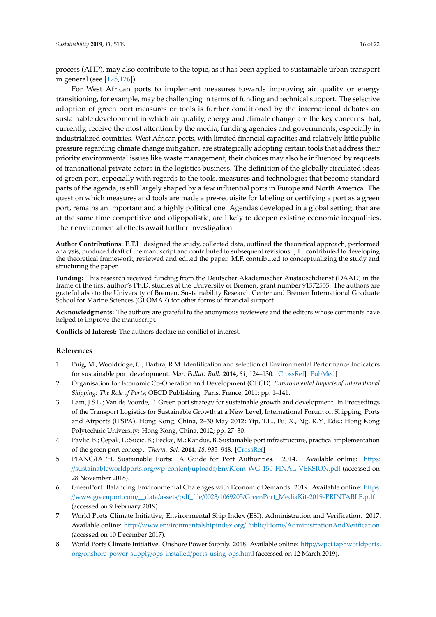process (AHP), may also contribute to the topic, as it has been applied to sustainable urban transport in general (see [\[125,](#page-21-4)[126\]](#page-21-5)).

For West African ports to implement measures towards improving air quality or energy transitioning, for example, may be challenging in terms of funding and technical support. The selective adoption of green port measures or tools is further conditioned by the international debates on sustainable development in which air quality, energy and climate change are the key concerns that, currently, receive the most attention by the media, funding agencies and governments, especially in industrialized countries. West African ports, with limited financial capacities and relatively little public pressure regarding climate change mitigation, are strategically adopting certain tools that address their priority environmental issues like waste management; their choices may also be influenced by requests of transnational private actors in the logistics business. The definition of the globally circulated ideas of green port, especially with regards to the tools, measures and technologies that become standard parts of the agenda, is still largely shaped by a few influential ports in Europe and North America. The question which measures and tools are made a pre-requisite for labeling or certifying a port as a green port, remains an important and a highly political one. Agendas developed in a global setting, that are at the same time competitive and oligopolistic, are likely to deepen existing economic inequalities. Their environmental effects await further investigation.

**Author Contributions:** E.T.L. designed the study, collected data, outlined the theoretical approach, performed analysis, produced draft of the manuscript and contributed to subsequent revisions. J.H. contributed to developing the theoretical framework, reviewed and edited the paper. M.F. contributed to conceptualizing the study and structuring the paper.

**Funding:** This research received funding from the Deutscher Akademischer Austauschdienst (DAAD) in the frame of the first author's Ph.D. studies at the University of Bremen, grant number 91572555. The authors are grateful also to the University of Bremen, Sustainability Research Center and Bremen International Graduate School for Marine Sciences (GLOMAR) for other forms of financial support.

**Acknowledgments:** The authors are grateful to the anonymous reviewers and the editors whose comments have helped to improve the manuscript.

**Conflicts of Interest:** The authors declare no conflict of interest.

### **References**

- <span id="page-15-0"></span>1. Puig, M.; Wooldridge, C.; Darbra, R.M. Identification and selection of Environmental Performance Indicators for sustainable port development. *Mar. Pollut. Bull.* **2014**, *81*, 124–130. [\[CrossRef\]](http://dx.doi.org/10.1016/j.marpolbul.2014.02.006) [\[PubMed\]](http://www.ncbi.nlm.nih.gov/pubmed/24629381)
- <span id="page-15-1"></span>2. Organisation for Economic Co-Operation and Development (OECD). *Environmental Impacts of International Shipping: The Role of Ports*; OECD Publishing: Paris, France, 2011; pp. 1–141.
- <span id="page-15-2"></span>3. Lam, J.S.L.; Van de Voorde, E. Green port strategy for sustainable growth and development. In Proceedings of the Transport Logistics for Sustainable Growth at a New Level, International Forum on Shipping, Ports and Airports (IFSPA), Hong Kong, China, 2–30 May 2012; Yip, T.L., Fu, X., Ng, K.Y., Eds.; Hong Kong Polytechnic University: Hong Kong, China, 2012; pp. 27–30.
- <span id="page-15-3"></span>4. Pavlic, B.; Cepak, F.; Sucic, B.; Peckaj, M.; Kandus, B. Sustainable port infrastructure, practical implementation of the green port concept. *Therm. Sci.* **2014**, *18*, 935–948. [\[CrossRef\]](http://dx.doi.org/10.2298/TSCI1403935P)
- <span id="page-15-4"></span>5. PIANC/IAPH. Sustainable Ports: A Guide for Port Authorities. 2014. Available online: [https:](https://sustainableworldports.org/wp-content/uploads/EnviCom-WG-150-FINAL-VERSION.pdf) //sustainableworldports.org/wp-content/uploads/[EnviCom-WG-150-FINAL-VERSION.pdf](https://sustainableworldports.org/wp-content/uploads/EnviCom-WG-150-FINAL-VERSION.pdf) (accessed on 28 November 2018).
- <span id="page-15-5"></span>6. GreenPort. Balancing Environmental Chalenges with Economic Demands. 2019. Available online: [https:](https://www.greenport.com/__data/assets/pdf_file/0023/1069205/GreenPort_MediaKit-2019-PRINTABLE.pdf) //www.greenport.com/\_\_data/assets/pdf\_file/0023/1069205/[GreenPort\\_MediaKit-2019-PRINTABLE.pdf](https://www.greenport.com/__data/assets/pdf_file/0023/1069205/GreenPort_MediaKit-2019-PRINTABLE.pdf) (accessed on 9 February 2019).
- <span id="page-15-7"></span>7. World Ports Climate Initiative; Environmental Ship Index (ESI). Administration and Verification. 2017. Available online: http://[www.environmentalshipindex.org](http://www.environmentalshipindex.org/Public/Home/AdministrationAndVerification)/Public/Home/AdministrationAndVerification (accessed on 10 December 2017).
- <span id="page-15-6"></span>8. World Ports Climate Initiative. Onshore Power Supply. 2018. Available online: http://[wpci.iaphworldports.](http://wpci.iaphworldports.org/onshore-power-supply/ops-installed/ports-using-ops.html) org/[onshore-power-supply](http://wpci.iaphworldports.org/onshore-power-supply/ops-installed/ports-using-ops.html)/ops-installed/ports-using-ops.html (accessed on 12 March 2019).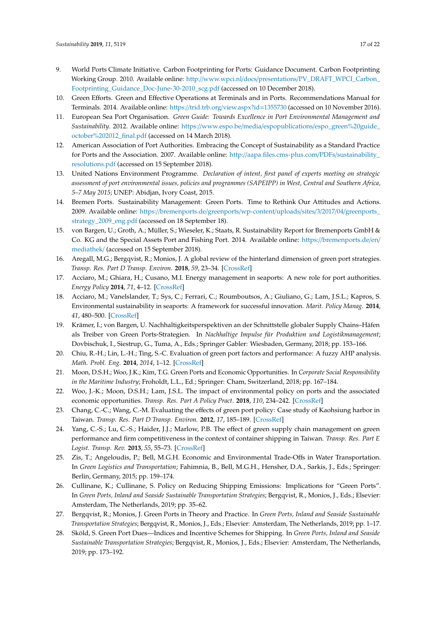- <span id="page-16-15"></span>9. World Ports Climate Initiative. Carbon Footprinting for Ports: Guidance Document. Carbon Footprinting Working Group. 2010. Available online: http://www.wpci.nl/docs/presentations/[PV\\_DRAFT\\_WPCI\\_Carbon\\_](http://www.wpci.nl/docs/presentations/PV_DRAFT_WPCI_Carbon_Footprinting_Guidance_Doc-June-30-2010_scg.pdf) [Footprinting\\_Guidance\\_Doc-June-30-2010\\_scg.pdf](http://www.wpci.nl/docs/presentations/PV_DRAFT_WPCI_Carbon_Footprinting_Guidance_Doc-June-30-2010_scg.pdf) (accessed on 10 December 2018).
- <span id="page-16-0"></span>10. Green Efforts. Green and Effective Operations at Terminals and in Ports. Recommendations Manual for Terminals. 2014. Available online: https://trid.trb.org/[view.aspx?id](https://trid.trb.org/view.aspx?id=1355730)=1355730 (accessed on 10 November 2016).
- <span id="page-16-1"></span>11. European Sea Port Organisation. *Green Guide: Towards Excellence in Port Environmental Management and Sustainability*. 2012. Available online: https://www.espo.be/media/espopublications/[espo\\_green%20guide\\_](https://www.espo.be/media/espopublications/espo_green%20guide_october%202012_final.pdf) [october%202012\\_final.pdf](https://www.espo.be/media/espopublications/espo_green%20guide_october%202012_final.pdf) (accessed on 14 March 2018).
- <span id="page-16-2"></span>12. American Association of Port Authorities. Embracing the Concept of Sustainability as a Standard Practice for Ports and the Association. 2007. Available online: http://[aapa.files.cms-plus.com](http://aapa.files.cms-plus.com/PDFs/sustainability_resolutions.pdf)/PDFs/sustainability\_ [resolutions.pdf](http://aapa.files.cms-plus.com/PDFs/sustainability_resolutions.pdf) (accessed on 15 September 2018).
- <span id="page-16-3"></span>13. United Nations Environment Programme. *Declaration of intent, first panel of experts meeting on strategic assessment of port environmental issues, policies and programmes (SAPEIPP) in West, Central and Southern Africa, 5–7 May 2015*; UNEP: Abidjan, Ivory Coast, 2015.
- <span id="page-16-4"></span>14. Bremen Ports. Sustainability Management: Green Ports. Time to Rethink Our Attitudes and Actions. 2009. Available online: https://[bremenports.de](https://bremenports.de/greenports/wp-content/uploads/sites/3/2017/04/greenports_strategy_2009_eng.pdf)/greenports/wp-content/uploads/sites/3/2017/04/greenports\_ [strategy\\_2009\\_eng.pdf](https://bremenports.de/greenports/wp-content/uploads/sites/3/2017/04/greenports_strategy_2009_eng.pdf) (accessed on 18 September 18).
- <span id="page-16-5"></span>15. von Bargen, U.; Groth, A.; Müller, S.; Wieseler, K.; Staats, R. Sustainability Report for Bremenports GmbH & Co. KG and the Special Assets Port and Fishing Port. 2014. Available online: https://[bremenports.de](https://bremenports.de/en/mediathek/)/en/ [mediathek](https://bremenports.de/en/mediathek/)/ (accessed on 15 September 2018).
- <span id="page-16-6"></span>16. Aregall, M.G.; Bergqvist, R.; Monios, J. A global review of the hinterland dimension of green port strategies. *Transp. Res. Part D Transp. Environ.* **2018**, *59*, 23–34. [\[CrossRef\]](http://dx.doi.org/10.1016/j.trd.2017.12.013)
- <span id="page-16-12"></span>17. Acciaro, M.; Ghiara, H.; Cusano, M.I. Energy management in seaports: A new role for port authorities. *Energy Policy* **2014**, *71*, 4–12. [\[CrossRef\]](http://dx.doi.org/10.1016/j.enpol.2014.04.013)
- <span id="page-16-14"></span>18. Acciaro, M.; Vanelslander, T.; Sys, C.; Ferrari, C.; Roumboutsos, A.; Giuliano, G.; Lam, J.S.L.; Kapros, S. Environmental sustainability in seaports: A framework for successful innovation. *Marit. Policy Manag.* **2014**, *41*, 480–500. [\[CrossRef\]](http://dx.doi.org/10.1080/03088839.2014.932926)
- <span id="page-16-7"></span>19. Krämer, I.; von Bargen, U. Nachhaltigkeitsperspektiven an der Schnittstelle globaler Supply Chains–Häfen als Treiber von Green Ports-Strategien. In *Nachhaltige Impulse für Produktion und Logistikmanagement*; Dovbischuk, I., Siestrup, G., Tuma, A., Eds.; Springer Gabler: Wiesbaden, Germany, 2018; pp. 153–166.
- <span id="page-16-8"></span>20. Chiu, R.-H.; Lin, L.-H.; Ting, S.-C. Evaluation of green port factors and performance: A fuzzy AHP analysis. *Math. Probl. Eng.* **2014**, *2014*, 1–12. [\[CrossRef\]](http://dx.doi.org/10.1155/2014/802976)
- <span id="page-16-9"></span>21. Moon, D.S.H.; Woo, J.K.; Kim, T.G. Green Ports and Economic Opportunities. In *Corporate Social Responsibility in the Maritime Industry*; Froholdt, L.L., Ed.; Springer: Cham, Switzerland, 2018; pp. 167–184.
- <span id="page-16-10"></span>22. Woo, J.-K.; Moon, D.S.H.; Lam, J.S.L. The impact of environmental policy on ports and the associated economic opportunities. *Transp. Res. Part A Policy Pract.* **2018**, *110*, 234–242. [\[CrossRef\]](http://dx.doi.org/10.1016/j.tra.2017.09.001)
- 23. Chang, C.-C.; Wang, C.-M. Evaluating the effects of green port policy: Case study of Kaohsiung harbor in Taiwan. *Transp. Res. Part D Transp. Environ.* **2012**, *17*, 185–189. [\[CrossRef\]](http://dx.doi.org/10.1016/j.trd.2011.11.006)
- 24. Yang, C.-S.; Lu, C.-S.; Haider, J.J.; Marlow, P.B. The effect of green supply chain management on green performance and firm competitiveness in the context of container shipping in Taiwan. *Transp. Res. Part E Logist. Transp. Rev.* **2013**, *55*, 55–73. [\[CrossRef\]](http://dx.doi.org/10.1016/j.tre.2013.03.005)
- <span id="page-16-11"></span>25. Zis, T.; Angeloudis, P.; Bell, M.G.H. Economic and Environmental Trade-Offs in Water Transportation. In *Green Logistics and Transportation*; Fahimnia, B., Bell, M.G.H., Hensher, D.A., Sarkis, J., Eds.; Springer: Berlin, Germany, 2015; pp. 159–174.
- <span id="page-16-13"></span>26. Cullinane, K.; Cullinane, S. Policy on Reducing Shipping Emissions: Implications for "Green Ports". In *Green Ports, Inland and Seaside Sustainable Transportation Strategies*; Bergqvist, R., Monios, J., Eds.; Elsevier: Amsterdam, The Netherlands, 2019; pp. 35–62.
- <span id="page-16-16"></span>27. Bergqvist, R.; Monios, J. Green Ports in Theory and Practice. In *Green Ports, Inland and Seaside Sustainable Transportation Strategies*; Bergqvist, R., Monios, J., Eds.; Elsevier: Amsterdam, The Netherlands, 2019; pp. 1–17.
- 28. Sköld, S. Green Port Dues—Indices and Incentive Schemes for Shipping. In *Green Ports, Inland and Seaside Sustainable Transportation Strategies*; Bergqvist, R., Monios, J., Eds.; Elsevier: Amsterdam, The Netherlands, 2019; pp. 173–192.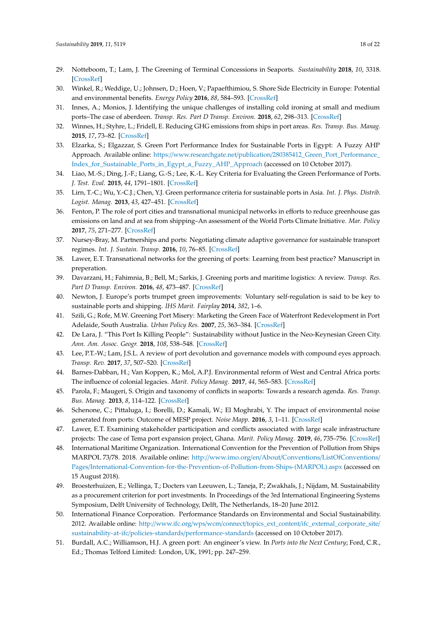- <span id="page-17-14"></span>29. Notteboom, T.; Lam, J. The Greening of Terminal Concessions in Seaports. *Sustainability* **2018**, *10*, 3318. [\[CrossRef\]](http://dx.doi.org/10.3390/su10093318)
- <span id="page-17-16"></span>30. Winkel, R.; Weddige, U.; Johnsen, D.; Hoen, V.; Papaefthimiou, S. Shore Side Electricity in Europe: Potential and environmental benefits. *Energy Policy* **2016**, *88*, 584–593. [\[CrossRef\]](http://dx.doi.org/10.1016/j.enpol.2015.07.013)
- <span id="page-17-17"></span>31. Innes, A.; Monios, J. Identifying the unique challenges of installing cold ironing at small and medium ports–The case of aberdeen. *Transp. Res. Part D Transp. Environ.* **2018**, *62*, 298–313. [\[CrossRef\]](http://dx.doi.org/10.1016/j.trd.2018.02.004)
- <span id="page-17-0"></span>32. Winnes, H.; Styhre, L.; Fridell, E. Reducing GHG emissions from ships in port areas. *Res. Transp. Bus. Manag.* **2015**, *17*, 73–82. [\[CrossRef\]](http://dx.doi.org/10.1016/j.rtbm.2015.10.008)
- <span id="page-17-1"></span>33. Elzarka, S.; Elgazzar, S. Green Port Performance Index for Sustainable Ports in Egypt: A Fuzzy AHP Approach. Available online: https://www.researchgate.net/publication/[280385412\\_Green\\_Port\\_Performance\\_](https://www.researchgate.net/publication/280385412_Green_Port_Performance_Index_for_Sustainable_Ports_in_Egypt_a_Fuzzy_AHP_Approach) [Index\\_for\\_Sustainable\\_Ports\\_in\\_Egypt\\_a\\_Fuzzy\\_AHP\\_Approach](https://www.researchgate.net/publication/280385412_Green_Port_Performance_Index_for_Sustainable_Ports_in_Egypt_a_Fuzzy_AHP_Approach) (accessed on 10 October 2017).
- <span id="page-17-15"></span>34. Liao, M.-S.; Ding, J.-F.; Liang, G.-S.; Lee, K.-L. Key Criteria for Evaluating the Green Performance of Ports. *J. Test. Eval.* **2015**, *44*, 1791–1801. [\[CrossRef\]](http://dx.doi.org/10.1520/JTE20140354)
- <span id="page-17-2"></span>35. Lirn, T.-C.; Wu, Y.-C.J.; Chen, Y.J. Green performance criteria for sustainable ports in Asia. *Int. J. Phys. Distrib. Logist. Manag.* **2013**, *43*, 427–451. [\[CrossRef\]](http://dx.doi.org/10.1108/IJPDLM-04-2012-0134)
- <span id="page-17-3"></span>36. Fenton, P. The role of port cities and transnational municipal networks in efforts to reduce greenhouse gas emissions on land and at sea from shipping–An assessment of the World Ports Climate Initiative. *Mar. Policy* **2017**, *75*, 271–277. [\[CrossRef\]](http://dx.doi.org/10.1016/j.marpol.2015.12.012)
- 37. Nursey-Bray, M. Partnerships and ports: Negotiating climate adaptive governance for sustainable transport regimes. *Int. J. Sustain. Transp.* **2016**, *10*, 76–85. [\[CrossRef\]](http://dx.doi.org/10.1080/15568318.2013.855849)
- <span id="page-17-4"></span>38. Lawer, E.T. Transnational networks for the greening of ports: Learning from best practice? Manuscript in preperation.
- <span id="page-17-5"></span>39. Davarzani, H.; Fahimnia, B.; Bell, M.; Sarkis, J. Greening ports and maritime logistics: A review. *Transp. Res. Part D Transp. Environ.* **2016**, *48*, 473–487. [\[CrossRef\]](http://dx.doi.org/10.1016/j.trd.2015.07.007)
- 40. Newton, J. Europe's ports trumpet green improvements: Voluntary self-regulation is said to be key to sustainable ports and shipping. *IHS Marit. Fairplay* **2014**, *382*, 1–6.
- 41. Szili, G.; Rofe, M.W. Greening Port Misery: Marketing the Green Face of Waterfront Redevelopment in Port Adelaide, South Australia. *Urban Policy Res.* **2007**, *25*, 363–384. [\[CrossRef\]](http://dx.doi.org/10.1080/08111140701540695)
- <span id="page-17-6"></span>42. De Lara, J. "This Port Is Killing People": Sustainability without Justice in the Neo-Keynesian Green City. *Ann. Am. Assoc. Geogr.* **2018**, *108*, 538–548. [\[CrossRef\]](http://dx.doi.org/10.1080/24694452.2017.1393328)
- <span id="page-17-7"></span>43. Lee, P.T.-W.; Lam, J.S.L. A review of port devolution and governance models with compound eyes approach. *Transp. Rev.* **2017**, *37*, 507–520. [\[CrossRef\]](http://dx.doi.org/10.1080/01441647.2016.1254690)
- <span id="page-17-8"></span>44. Barnes-Dabban, H.; Van Koppen, K.; Mol, A.P.J. Environmental reform of West and Central Africa ports: The influence of colonial legacies. *Marit. Policy Manag.* **2017**, *44*, 565–583. [\[CrossRef\]](http://dx.doi.org/10.1080/03088839.2017.1299236)
- <span id="page-17-9"></span>45. Parola, F.; Maugeri, S. Origin and taxonomy of conflicts in seaports: Towards a research agenda. *Res. Transp. Bus. Manag.* **2013**, *8*, 114–122. [\[CrossRef\]](http://dx.doi.org/10.1016/j.rtbm.2013.07.005)
- 46. Schenone, C.; Pittaluga, I.; Borelli, D.; Kamali, W.; El Moghrabi, Y. The impact of environmental noise generated from ports: Outcome of MESP project. *Noise Mapp.* **2016**, *3*, 1–11. [\[CrossRef\]](http://dx.doi.org/10.1515/noise-2016-0002)
- <span id="page-17-10"></span>47. Lawer, E.T. Examining stakeholder participation and conflicts associated with large scale infrastructure projects: The case of Tema port expansion project, Ghana. *Marit. Policy Manag.* **2019**, *46*, 735–756. [\[CrossRef\]](http://dx.doi.org/10.1080/03088839.2019.1627013)
- <span id="page-17-11"></span>48. International Maritime Organization. International Convention for the Prevention of Pollution from Ships MARPOL 73/78. 2018. Available online: http://www.imo.org/en/About/Conventions/[ListOfConventions](http://www.imo.org/en/About/Conventions/ListOfConventions/Pages/International-Convention-for-the-Prevention-of-Pollution-from-Ships-(MARPOL).aspx)/ Pages/[International-Convention-for-the-Prevention-of-Pollution-from-Ships-\(MARPOL\).aspx](http://www.imo.org/en/About/Conventions/ListOfConventions/Pages/International-Convention-for-the-Prevention-of-Pollution-from-Ships-(MARPOL).aspx) (accessed on 15 August 2018).
- 49. Broesterhuizen, E.; Vellinga, T.; Docters van Leeuwen, L.; Taneja, P.; Zwakhals, J.; Nijdam, M. Sustainability as a procurement criterion for port investments. In Proceedings of the 3rd International Engineering Systems Symposium, Delft University of Technology, Delft, The Netherlands, 18–20 June 2012.
- <span id="page-17-12"></span>50. International Finance Corporation. Performance Standards on Environmental and Social Sustainability. 2012. Available online: http://www.ifc.org/wps/wcm/connect/topics\_ext\_content/[ifc\\_external\\_corporate\\_site](http://www.ifc.org/wps/wcm/connect/topics_ext_content/ifc_external_corporate_site/sustainability-at-ifc/policies-standards/performance-standards)/ sustainability-at-ifc/policies-standards/[performance-standards](http://www.ifc.org/wps/wcm/connect/topics_ext_content/ifc_external_corporate_site/sustainability-at-ifc/policies-standards/performance-standards) (accessed on 10 October 2017).
- <span id="page-17-13"></span>51. Burdall, A.C.; Williamson, H.J. A green port: An engineer's view. In *Ports into the Next Century*; Ford, C.R., Ed.; Thomas Telford Limited: London, UK, 1991; pp. 247–259.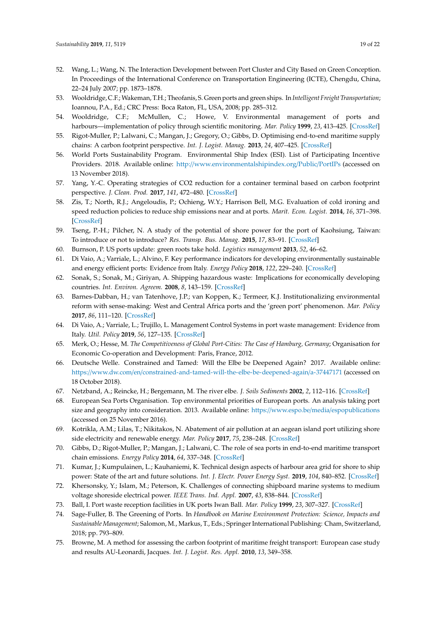- <span id="page-18-0"></span>52. Wang, L.; Wang, N. The Interaction Development between Port Cluster and City Based on Green Conception. In Proceedings of the International Conference on Transportation Engineering (ICTE), Chengdu, China, 22–24 July 2007; pp. 1873–1878.
- <span id="page-18-1"></span>53. Wooldridge, C.F.; Wakeman, T.H.; Theofanis, S. Green ports and green ships. In *Intelligent Freight Transportation*; Ioannou, P.A., Ed.; CRC Press: Boca Raton, FL, USA, 2008; pp. 285–312.
- <span id="page-18-2"></span>54. Wooldridge, C.F.; McMullen, C.; Howe, V. Environmental management of ports and harbours—implementation of policy through scientific monitoring. *Mar. Policy* **1999**, *23*, 413–425. [\[CrossRef\]](http://dx.doi.org/10.1016/S0308-597X(98)00055-4)
- <span id="page-18-3"></span>55. Rigot-Muller, P.; Lalwani, C.; Mangan, J.; Gregory, O.; Gibbs, D. Optimising end-to-end maritime supply chains: A carbon footprint perspective. *Int. J. Logist. Manag.* **2013**, *24*, 407–425. [\[CrossRef\]](http://dx.doi.org/10.1108/IJLM-01-2013-0002)
- 56. World Ports Sustainability Program. Environmental Ship Index (ESI). List of Participating Incentive Providers. 2018. Available online: http://[www.environmentalshipindex.org](http://www.environmentalshipindex.org/Public/PortIPs)/Public/PortIPs (accessed on 13 November 2018).
- <span id="page-18-4"></span>57. Yang, Y.-C. Operating strategies of CO2 reduction for a container terminal based on carbon footprint perspective. *J. Clean. Prod.* **2017**, *141*, 472–480. [\[CrossRef\]](http://dx.doi.org/10.1016/j.jclepro.2016.09.132)
- <span id="page-18-5"></span>58. Zis, T.; North, R.J.; Angeloudis, P.; Ochieng, W.Y.; Harrison Bell, M.G. Evaluation of cold ironing and speed reduction policies to reduce ship emissions near and at ports. *Marit. Econ. Logist.* **2014**, *16*, 371–398. [\[CrossRef\]](http://dx.doi.org/10.1057/mel.2014.6)
- <span id="page-18-6"></span>59. Tseng, P.-H.; Pilcher, N. A study of the potential of shore power for the port of Kaohsiung, Taiwan: To introduce or not to introduce? *Res. Transp. Bus. Manag.* **2015**, *17*, 83–91. [\[CrossRef\]](http://dx.doi.org/10.1016/j.rtbm.2015.09.001)
- <span id="page-18-7"></span>60. Burnson, P. US ports update: green roots take hold. *Logistics management* **2013**, *52*, 46–62.
- <span id="page-18-8"></span>61. Di Vaio, A.; Varriale, L.; Alvino, F. Key performance indicators for developing environmentally sustainable and energy efficient ports: Evidence from Italy. *Energy Policy* **2018**, *122*, 229–240. [\[CrossRef\]](http://dx.doi.org/10.1016/j.enpol.2018.07.046)
- <span id="page-18-9"></span>62. Sonak, S.; Sonak, M.; Giriyan, A. Shipping hazardous waste: Implications for economically developing countries. *Int. Environ. Agreem.* **2008**, *8*, 143–159. [\[CrossRef\]](http://dx.doi.org/10.1007/s10784-008-9069-3)
- <span id="page-18-14"></span>63. Barnes-Dabban, H.; van Tatenhove, J.P.; van Koppen, K.; Termeer, K.J. Institutionalizing environmental reform with sense-making: West and Central Africa ports and the 'green port' phenomenon. *Mar. Policy* **2017**, *86*, 111–120. [\[CrossRef\]](http://dx.doi.org/10.1016/j.marpol.2017.09.005)
- <span id="page-18-10"></span>64. Di Vaio, A.; Varriale, L.; Trujillo, L. Management Control Systems in port waste management: Evidence from Italy. *Util. Policy* **2019**, *56*, 127–135. [\[CrossRef\]](http://dx.doi.org/10.1016/j.jup.2018.12.001)
- <span id="page-18-11"></span>65. Merk, O.; Hesse, M. *The Competitiveness of Global Port-Cities: The Case of Hamburg, Germany*; Organisation for Economic Co-operation and Development: Paris, France, 2012.
- <span id="page-18-12"></span>66. Deutsche Welle. Constrained and Tamed: Will the Elbe be Deepened Again? 2017. Available online: https://www.dw.com/en/[constrained-and-tamed-will-the-elbe-be-deepened-again](https://www.dw.com/en/constrained-and-tamed-will-the-elbe-be-deepened-again/a-37447171)/a-37447171 (accessed on 18 October 2018).
- <span id="page-18-13"></span>67. Netzband, A.; Reincke, H.; Bergemann, M. The river elbe. *J. Soils Sediments* **2002**, *2*, 112–116. [\[CrossRef\]](http://dx.doi.org/10.1007/BF02988462)
- <span id="page-18-15"></span>68. European Sea Ports Organisation. Top environmental priorities of European ports. An analysis taking port size and geography into consideration. 2013. Available online: https://www.espo.be/media/[espopublications](https://www.espo.be/media/espopublications) (accessed on 25 November 2016).
- <span id="page-18-16"></span>69. Kotrikla, A.M.; Lilas, T.; Nikitakos, N. Abatement of air pollution at an aegean island port utilizing shore side electricity and renewable energy. *Mar. Policy* **2017**, *75*, 238–248. [\[CrossRef\]](http://dx.doi.org/10.1016/j.marpol.2016.01.026)
- <span id="page-18-17"></span>70. Gibbs, D.; Rigot-Muller, P.; Mangan, J.; Lalwani, C. The role of sea ports in end-to-end maritime transport chain emissions. *Energy Policy* **2014**, *64*, 337–348. [\[CrossRef\]](http://dx.doi.org/10.1016/j.enpol.2013.09.024)
- <span id="page-18-18"></span>71. Kumar, J.; Kumpulainen, L.; Kauhaniemi, K. Technical design aspects of harbour area grid for shore to ship power: State of the art and future solutions. *Int. J. Electr. Power Energy Syst.* **2019**, *104*, 840–852. [\[CrossRef\]](http://dx.doi.org/10.1016/j.ijepes.2018.07.051)
- <span id="page-18-19"></span>72. Khersonsky, Y.; Islam, M.; Peterson, K. Challenges of connecting shipboard marine systems to medium voltage shoreside electrical power. *IEEE Trans. Ind. Appl.* **2007**, *43*, 838–844. [\[CrossRef\]](http://dx.doi.org/10.1109/TIA.2007.895810)
- <span id="page-18-20"></span>73. Ball, I. Port waste reception facilities in UK ports Iwan Ball. *Mar. Policy* **1999**, *23*, 307–327. [\[CrossRef\]](http://dx.doi.org/10.1016/S0308-597X(98)00057-8)
- <span id="page-18-21"></span>74. Sage-Fuller, B. The Greening of Ports. In *Handbook on Marine Environment Protection: Science, Impacts and Sustainable Management*; Salomon, M., Markus, T., Eds.; Springer International Publishing: Cham, Switzerland, 2018; pp. 793–809.
- <span id="page-18-22"></span>75. Browne, M. A method for assessing the carbon footprint of maritime freight transport: European case study and results AU-Leonardi, Jacques. *Int. J. Logist. Res. Appl.* **2010**, *13*, 349–358.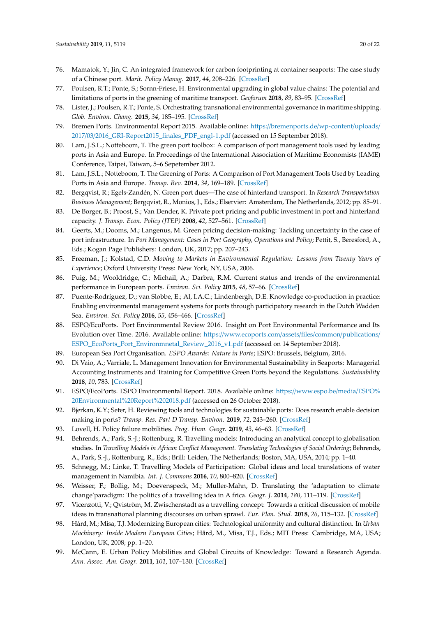- <span id="page-19-0"></span>76. Mamatok, Y.; Jin, C. An integrated framework for carbon footprinting at container seaports: The case study of a Chinese port. *Marit. Policy Manag.* **2017**, *44*, 208–226. [\[CrossRef\]](http://dx.doi.org/10.1080/03088839.2016.1262077)
- <span id="page-19-1"></span>77. Poulsen, R.T.; Ponte, S.; Sornn-Friese, H. Environmental upgrading in global value chains: The potential and limitations of ports in the greening of maritime transport. *Geoforum* **2018**, *89*, 83–95. [\[CrossRef\]](http://dx.doi.org/10.1016/j.geoforum.2018.01.011)
- <span id="page-19-2"></span>78. Lister, J.; Poulsen, R.T.; Ponte, S. Orchestrating transnational environmental governance in maritime shipping. *Glob. Environ. Chang.* **2015**, *34*, 185–195. [\[CrossRef\]](http://dx.doi.org/10.1016/j.gloenvcha.2015.06.011)
- <span id="page-19-3"></span>79. Bremen Ports. Environmental Report 2015. Available online: https://[bremenports.de](https://bremenports.de/wp-content/uploads/2017/03/2016_GRI-Report2015_finales_PDF_engl-1.pdf)/wp-content/uploads/ 2017/03/[2016\\_GRI-Report2015\\_finales\\_PDF\\_engl-1.pdf](https://bremenports.de/wp-content/uploads/2017/03/2016_GRI-Report2015_finales_PDF_engl-1.pdf) (accessed on 15 September 2018).
- <span id="page-19-4"></span>80. Lam, J.S.L.; Notteboom, T. The green port toolbox: A comparison of port management tools used by leading ports in Asia and Europe. In Proceedings of the International Association of Maritime Economists (IAME) Conference, Taipei, Taiwan, 5–6 Sepetember 2012.
- <span id="page-19-5"></span>81. Lam, J.S.L.; Notteboom, T. The Greening of Ports: A Comparison of Port Management Tools Used by Leading Ports in Asia and Europe. *Transp. Rev.* **2014**, *34*, 169–189. [\[CrossRef\]](http://dx.doi.org/10.1080/01441647.2014.891162)
- 82. Bergqvist, R.; Egels-Zandén, N. Green port dues—The case of hinterland transport. In *Research Transportation Business Management*; Bergqvist, R., Monios, J., Eds.; Elservier: Amsterdam, The Netherlands, 2012; pp. 85–91.
- <span id="page-19-6"></span>83. De Borger, B.; Proost, S.; Van Dender, K. Private port pricing and public investment in port and hinterland capacity. *J. Transp. Econ. Policy (JTEP)* **2008**, *42*, 527–561. [\[CrossRef\]](http://dx.doi.org/10.2139/ssrn.1024691)
- <span id="page-19-7"></span>84. Geerts, M.; Dooms, M.; Langenus, M. Green pricing decision-making: Tackling uncertainty in the case of port infrastructure. In *Port Management: Cases in Port Geography, Operations and Policy*; Pettit, S., Beresford, A., Eds.; Kogan Page Publishers: London, UK, 2017; pp. 207–243.
- <span id="page-19-8"></span>85. Freeman, J.; Kolstad, C.D. *Moving to Markets in Environmental Regulation: Lessons from Twenty Years of Experience*; Oxford University Press: New York, NY, USA, 2006.
- <span id="page-19-9"></span>86. Puig, M.; Wooldridge, C.; Michail, A.; Darbra, R.M. Current status and trends of the environmental performance in European ports. *Environ. Sci. Policy* **2015**, *48*, 57–66. [\[CrossRef\]](http://dx.doi.org/10.1016/j.envsci.2014.12.004)
- <span id="page-19-10"></span>87. Puente-Rodríguez, D.; van Slobbe, E.; Al, I.A.C.; Lindenbergh, D.E. Knowledge co-production in practice: Enabling environmental management systems for ports through participatory research in the Dutch Wadden Sea. *Environ. Sci. Policy* **2016**, *55*, 456–466. [\[CrossRef\]](http://dx.doi.org/10.1016/j.envsci.2015.02.014)
- <span id="page-19-11"></span>88. ESPO/EcoPorts. Port Environmental Review 2016. Insight on Port Environmental Performance and Its Evolution over Time. 2016. Available online: https://[www.ecoports.com](https://www.ecoports.com/assets/files/common/publications/ESPO_EcoPorts_Port_Environmnetal_Review_2016_v1.pdf)/assets/files/common/publications/ [ESPO\\_EcoPorts\\_Port\\_Environmnetal\\_Review\\_2016\\_v1.pdf](https://www.ecoports.com/assets/files/common/publications/ESPO_EcoPorts_Port_Environmnetal_Review_2016_v1.pdf) (accessed on 14 September 2018).
- <span id="page-19-12"></span>89. European Sea Port Organisation. *ESPO Awards: Nature in Ports*; ESPO: Brussels, Belgium, 2016.
- <span id="page-19-13"></span>90. Di Vaio, A.; Varriale, L. Management Innovation for Environmental Sustainability in Seaports: Managerial Accounting Instruments and Training for Competitive Green Ports beyond the Regulations. *Sustainability* **2018**, *10*, 783. [\[CrossRef\]](http://dx.doi.org/10.3390/su10030783)
- <span id="page-19-14"></span>91. ESPO/EcoPorts. ESPO Environmental Report. 2018. Available online: https://[www.espo.be](https://www.espo.be/media/ESPO%20Environmental%20Report%202018.pdf)/media/ESPO% [20Environmental%20Report%202018.pdf](https://www.espo.be/media/ESPO%20Environmental%20Report%202018.pdf) (accessed on 26 October 2018).
- <span id="page-19-15"></span>92. Bjerkan, K.Y.; Seter, H. Reviewing tools and technologies for sustainable ports: Does research enable decision making in ports? *Transp. Res. Part D Transp. Environ.* **2019**, *72*, 243–260. [\[CrossRef\]](http://dx.doi.org/10.1016/j.trd.2019.05.003)
- <span id="page-19-16"></span>93. Lovell, H. Policy failure mobilities. *Prog. Hum. Geogr.* **2019**, *43*, 46–63. [\[CrossRef\]](http://dx.doi.org/10.1177/0309132517734074)
- <span id="page-19-17"></span>94. Behrends, A.; Park, S.-J.; Rottenburg, R. Travelling models: Introducing an analytical concept to globalisation studies. In *Travelling Models in African Conflict Management. Translating Technologies of Social Ordering*; Behrends, A., Park, S.-J., Rottenburg, R., Eds.; Brill: Leiden, The Netherlands; Boston, MA, USA, 2014; pp. 1–40.
- <span id="page-19-18"></span>95. Schnegg, M.; Linke, T. Travelling Models of Participation: Global ideas and local translations of water management in Namibia. *Int. J. Commons* **2016**, *10*, 800–820. [\[CrossRef\]](http://dx.doi.org/10.18352/ijc.705)
- <span id="page-19-19"></span>96. Weisser, F.; Bollig, M.; Doevenspeck, M.; Müller-Mahn, D. Translating the 'adaptation to climate change'paradigm: The politics of a travelling idea in A frica. *Geogr. J.* **2014**, *180*, 111–119. [\[CrossRef\]](http://dx.doi.org/10.1111/geoj.12037)
- <span id="page-19-20"></span>97. Vicenzotti, V.; Qviström, M. Zwischenstadt as a travelling concept: Towards a critical discussion of mobile ideas in transnational planning discourses on urban sprawl. *Eur. Plan. Stud.* **2018**, *26*, 115–132. [\[CrossRef\]](http://dx.doi.org/10.1080/09654313.2017.1375082)
- <span id="page-19-21"></span>98. Hård, M.; Misa, T.J. Modernizing European cities: Technological uniformity and cultural distinction. In *Urban Machinery: Inside Modern European Cities*; Hård, M., Misa, T.J., Eds.; MIT Press: Cambridge, MA, USA; London, UK, 2008; pp. 1–20.
- <span id="page-19-22"></span>99. McCann, E. Urban Policy Mobilities and Global Circuits of Knowledge: Toward a Research Agenda. *Ann. Assoc. Am. Geogr.* **2011**, *101*, 107–130. [\[CrossRef\]](http://dx.doi.org/10.1080/00045608.2010.520219)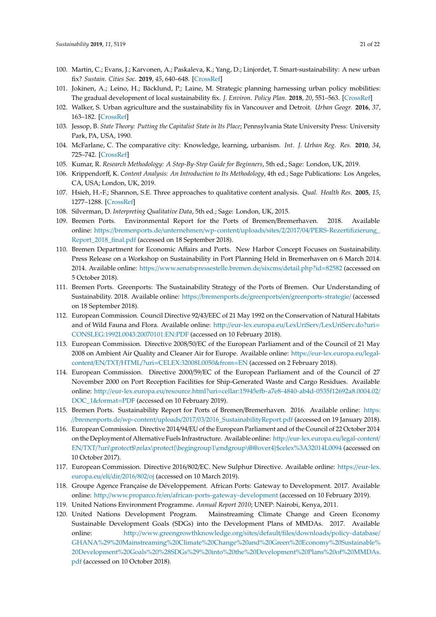- <span id="page-20-0"></span>100. Martin, C.; Evans, J.; Karvonen, A.; Paskaleva, K.; Yang, D.; Linjordet, T. Smart-sustainability: A new urban fix? *Sustain. Cities Soc.* **2019**, *45*, 640–648. [\[CrossRef\]](http://dx.doi.org/10.1016/j.scs.2018.11.028)
- <span id="page-20-1"></span>101. Jokinen, A.; Leino, H.; Bäcklund, P.; Laine, M. Strategic planning harnessing urban policy mobilities: The gradual development of local sustainability fix. *J. Environ. Policy Plan.* **2018**, *20*, 551–563. [\[CrossRef\]](http://dx.doi.org/10.1080/1523908X.2018.1454828)
- <span id="page-20-2"></span>102. Walker, S. Urban agriculture and the sustainability fix in Vancouver and Detroit. *Urban Geogr.* **2016**, *37*, 163–182. [\[CrossRef\]](http://dx.doi.org/10.1080/02723638.2015.1056606)
- <span id="page-20-3"></span>103. Jessop, B. *State Theory: Putting the Capitalist State in Its Place*; Pennsylvania State University Press: University Park, PA, USA, 1990.
- <span id="page-20-4"></span>104. McFarlane, C. The comparative city: Knowledge, learning, urbanism. *Int. J. Urban Reg. Res.* **2010**, *34*, 725–742. [\[CrossRef\]](http://dx.doi.org/10.1111/j.1468-2427.2010.00917.x)
- <span id="page-20-5"></span>105. Kumar, R. *Research Methodology: A Step-By-Step Guide for Beginners*, 5th ed.; Sage: London, UK, 2019.
- <span id="page-20-6"></span>106. Krippendorff, K. *Content Analysis: An Introduction to Its Methodology*, 4th ed.; Sage Publications: Los Angeles, CA, USA; London, UK, 2019.
- <span id="page-20-7"></span>107. Hsieh, H.-F.; Shannon, S.E. Three approaches to qualitative content analysis. *Qual. Health Res.* **2005**, *15*, 1277–1288. [\[CrossRef\]](http://dx.doi.org/10.1177/1049732305276687)
- <span id="page-20-8"></span>108. Silverman, D. *Interpreting Qualitative Data*, 5th ed.; Sage: London, UK, 2015.
- <span id="page-20-9"></span>109. Bremen Ports. Environmental Report for the Ports of Bremen/Bremerhaven. 2018. Available online: https://bremenports.de/unternehmen/wp-content/uploads/sites/2/2017/04/[PERS-Rezertifizierung\\_](https://bremenports.de/unternehmen/wp-content/uploads/sites/2/2017/04/PERS-Rezertifizierung_Report_2018_final.pdf) [Report\\_2018\\_final.pdf](https://bremenports.de/unternehmen/wp-content/uploads/sites/2/2017/04/PERS-Rezertifizierung_Report_2018_final.pdf) (accessed on 18 September 2018).
- <span id="page-20-10"></span>110. Bremen Department for Economic Affairs and Ports. New Harbor Concept Focuses on Sustainability. Press Release on a Workshop on Sustainability in Port Planning Held in Bremerhaven on 6 March 2014. 2014. Available online: https://[www.senatspressestelle.bremen.de](https://www.senatspressestelle.bremen.de/sixcms/detail.php?id=82582)/sixcms/detail.php?id=82582 (accessed on 5 October 2018).
- 111. Bremen Ports. Greenports: The Sustainability Strategy of the Ports of Bremen. Our Understanding of Sustainability. 2018. Available online: https://bremenports.de/greenports/en/[greenports-strategie](https://bremenports.de/greenports/en/greenports-strategie/)/ (accessed on 18 September 2018).
- <span id="page-20-16"></span>112. European Commission. Council Directive 92/43/EEC of 21 May 1992 on the Conservation of Natural Habitats and of Wild Fauna and Flora. Available online: http://eur-lex.europa.eu/LexUriServ/[LexUriServ.do?uri](http://eur-lex.europa.eu/LexUriServ/LexUriServ.do?uri=CONSLEG:1992L0043:20070101:EN:PDF)= [CONSLEG:1992L0043:20070101:EN:PDF](http://eur-lex.europa.eu/LexUriServ/LexUriServ.do?uri=CONSLEG:1992L0043:20070101:EN:PDF) (accessed on 10 February 2018).
- <span id="page-20-11"></span>113. European Commission. Directive 2008/50/EC of the European Parliament and of the Council of 21 May 2008 on Ambient Air Quality and Cleaner Air for Europe. Available online: https://[eur-lex.europa.eu](https://eur-lex.europa.eu/legal-content/EN/TXT/HTML/?uri=CELEX:32008L0050&from=EN)/legalcontent/EN/TXT/HTML/?uri=[CELEX:32008L0050&from](https://eur-lex.europa.eu/legal-content/EN/TXT/HTML/?uri=CELEX:32008L0050&from=EN)=EN (accessed on 2 February 2018).
- <span id="page-20-12"></span>114. European Commission. Directive 2000/59/EC of the European Parliament and of the Council of 27 November 2000 on Port Reception Facilities for Ship-Generated Waste and Cargo Residues. Available online: http://eur-lex.europa.eu/resource.html?uri=[cellar:15945efb-a7e8-4840-ab4d-0535f12692a8.0004.02](http://eur-lex.europa.eu/resource.html?uri=cellar:15945efb-a7e8-4840-ab4d-0535f12692a8.0004.02/DOC_1&format=PDF)/ [DOC\\_1&format](http://eur-lex.europa.eu/resource.html?uri=cellar:15945efb-a7e8-4840-ab4d-0535f12692a8.0004.02/DOC_1&format=PDF)=PDF (accessed on 10 February 2019).
- <span id="page-20-13"></span>115. Bremen Ports. Sustainability Report for Ports of Bremen/Bremerhaven. 2016. Available online: [https:](https://bremenports.de/wp-content/uploads/2017/03/2016_SustainabilityReport.pdf) //bremenports.de/wp-content/uploads/2017/03/[2016\\_SustainabilityReport.pdf](https://bremenports.de/wp-content/uploads/2017/03/2016_SustainabilityReport.pdf) (accessed on 19 January 2018).
- <span id="page-20-14"></span>116. European Commission. Directive 2014/94/EU of the European Parliament and of the Council of 22 October 2014 on the Deployment of Alternative Fuels Infrastructure. Available online: http://[eur-lex.europa.eu](http://eur-lex.europa.eu/legal-content/EN/TXT/?uri\protect $\relax \protect {\begingroup 1\endgroup \@@over 4}$celex%3A32014L0094)/legal-content/ EN/TXT/?uri\protect\$\relax\protect{\begingroup1\endgroup\[@@over4}\\$celex%3A32014L0094](http://eur-lex.europa.eu/legal-content/EN/TXT/?uri\protect $\relax \protect {\begingroup 1\endgroup \@@over 4}$celex%3A32014L0094) (accessed on 10 October 2017).
- <span id="page-20-15"></span>117. European Commission. Directive 2016/802/EC. New Sulphur Directive. Available online: https://[eur-lex.](https://eur-lex.europa.eu/eli/dir/2016/802/oj) [europa.eu](https://eur-lex.europa.eu/eli/dir/2016/802/oj)/eli/dir/2016/802/oj (accessed on 10 March 2019).
- <span id="page-20-17"></span>118. Groupe Agence Française de Développement. African Ports: Gateway to Development. 2017. Available online: http://www.proparco.fr/en/[african-ports-gateway-development](http://www.proparco.fr/en/african-ports-gateway-development) (accessed on 10 February 2019).
- <span id="page-20-18"></span>119. United Nations Environment Programme. *Annual Report 2010*; UNEP: Nairobi, Kenya, 2011.
- <span id="page-20-19"></span>120. United Nations Development Program. Mainstreaming Climate Change and Green Economy Sustainable Development Goals (SDGs) into the Development Plans of MMDAs. 2017. Available online: http://[www.greengrowthknowledge.org](http://www.greengrowthknowledge.org/sites/default/files/downloads/policy-database/GHANA%29%20Mainstreaming%20Climate%20Change%20and%20Green%20Economy%20Sustainable%20Development%20Goals%20%28SDGs%29%20into%20the%20Development%20Plans%20of%20MMDAs.pdf)/sites/default/files/downloads/policy-database/ [GHANA%29%20Mainstreaming%20Climate%20Change%20and%20Green%20Economy%20Sustainable%](http://www.greengrowthknowledge.org/sites/default/files/downloads/policy-database/GHANA%29%20Mainstreaming%20Climate%20Change%20and%20Green%20Economy%20Sustainable%20Development%20Goals%20%28SDGs%29%20into%20the%20Development%20Plans%20of%20MMDAs.pdf) [20Development%20Goals%20%28SDGs%29%20into%20the%20Development%20Plans%20of%20MMDAs.](http://www.greengrowthknowledge.org/sites/default/files/downloads/policy-database/GHANA%29%20Mainstreaming%20Climate%20Change%20and%20Green%20Economy%20Sustainable%20Development%20Goals%20%28SDGs%29%20into%20the%20Development%20Plans%20of%20MMDAs.pdf) [pdf](http://www.greengrowthknowledge.org/sites/default/files/downloads/policy-database/GHANA%29%20Mainstreaming%20Climate%20Change%20and%20Green%20Economy%20Sustainable%20Development%20Goals%20%28SDGs%29%20into%20the%20Development%20Plans%20of%20MMDAs.pdf) (accessed on 10 October 2018).